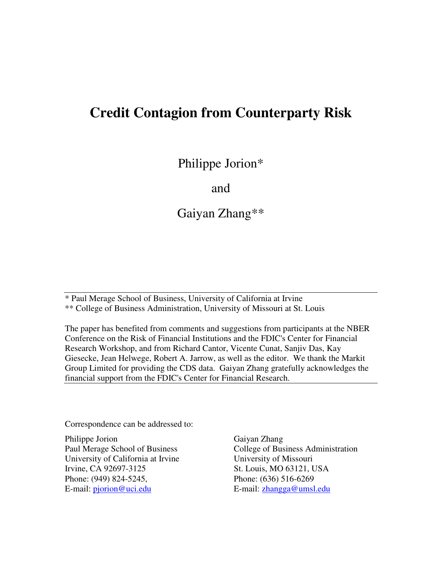# **Credit Contagion from Counterparty Risk**

Philippe Jorion\*

and

Gaiyan Zhang\*\*

\* Paul Merage School of Business, University of California at Irvine \*\* College of Business Administration, University of Missouri at St. Louis

The paper has benefited from comments and suggestions from participants at the NBER Conference on the Risk of Financial Institutions and the FDIC's Center for Financial Research Workshop, and from Richard Cantor, Vicente Cunat, Sanjiv Das, Kay Giesecke, Jean Helwege, Robert A. Jarrow, as well as the editor. We thank the Markit Group Limited for providing the CDS data. Gaiyan Zhang gratefully acknowledges the financial support from the FDIC's Center for Financial Research.

Correspondence can be addressed to:

Philippe Jorion Paul Merage School of Business University of California at Irvine Irvine, CA 92697-3125 Phone: (949) 824-5245, E-mail: pjorion@uci.edu

Gaiyan Zhang College of Business Administration University of Missouri St. Louis, MO 63121, USA Phone: (636) 516-6269 E-mail: zhangga@umsl.edu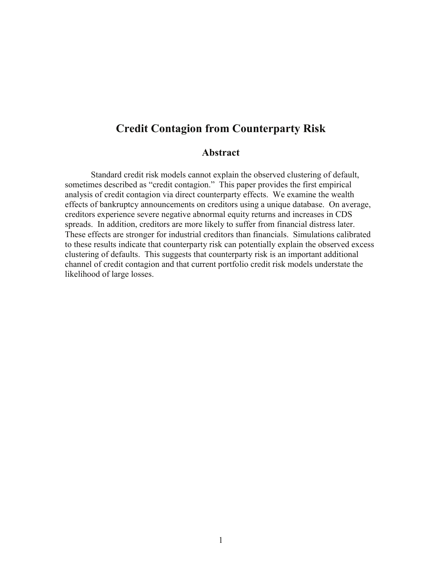# **Credit Contagion from Counterparty Risk**

### **Abstract**

Standard credit risk models cannot explain the observed clustering of default, sometimes described as "credit contagion." This paper provides the first empirical analysis of credit contagion via direct counterparty effects. We examine the wealth effects of bankruptcy announcements on creditors using a unique database. On average, creditors experience severe negative abnormal equity returns and increases in CDS spreads. In addition, creditors are more likely to suffer from financial distress later. These effects are stronger for industrial creditors than financials. Simulations calibrated to these results indicate that counterparty risk can potentially explain the observed excess clustering of defaults. This suggests that counterparty risk is an important additional channel of credit contagion and that current portfolio credit risk models understate the likelihood of large losses.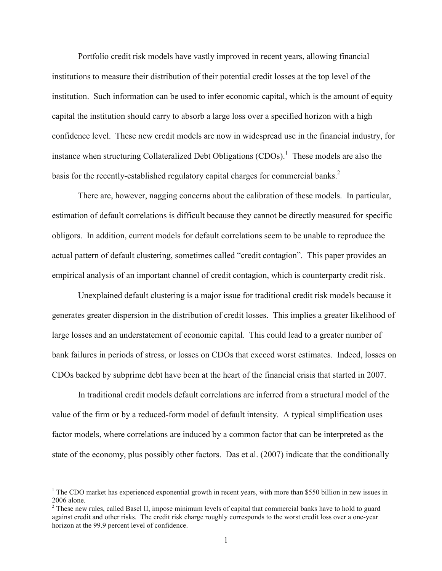Portfolio credit risk models have vastly improved in recent years, allowing financial institutions to measure their distribution of their potential credit losses at the top level of the institution. Such information can be used to infer economic capital, which is the amount of equity capital the institution should carry to absorb a large loss over a specified horizon with a high confidence level. These new credit models are now in widespread use in the financial industry, for instance when structuring Collateralized Debt Obligations  $(CDOs)$ .<sup>1</sup> These models are also the basis for the recently-established regulatory capital charges for commercial banks.<sup>2</sup>

There are, however, nagging concerns about the calibration of these models. In particular, estimation of default correlations is difficult because they cannot be directly measured for specific obligors. In addition, current models for default correlations seem to be unable to reproduce the actual pattern of default clustering, sometimes called "credit contagion". This paper provides an empirical analysis of an important channel of credit contagion, which is counterparty credit risk.

Unexplained default clustering is a major issue for traditional credit risk models because it generates greater dispersion in the distribution of credit losses. This implies a greater likelihood of large losses and an understatement of economic capital. This could lead to a greater number of bank failures in periods of stress, or losses on CDOs that exceed worst estimates. Indeed, losses on CDOs backed by subprime debt have been at the heart of the financial crisis that started in 2007.

In traditional credit models default correlations are inferred from a structural model of the value of the firm or by a reduced-form model of default intensity. A typical simplification uses factor models, where correlations are induced by a common factor that can be interpreted as the state of the economy, plus possibly other factors. Das et al. (2007) indicate that the conditionally

<sup>&</sup>lt;sup>1</sup> The CDO market has experienced exponential growth in recent years, with more than \$550 billion in new issues in 2006 alone.

 $2$  These new rules, called Basel II, impose minimum levels of capital that commercial banks have to hold to guard against credit and other risks. The credit risk charge roughly corresponds to the worst credit loss over a one-year horizon at the 99.9 percent level of confidence.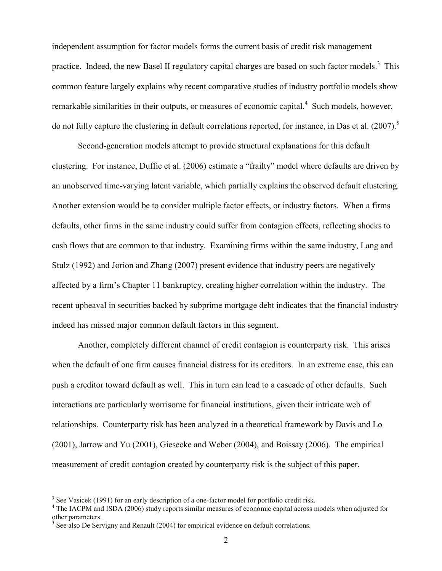independent assumption for factor models forms the current basis of credit risk management practice. Indeed, the new Basel II regulatory capital charges are based on such factor models.<sup>3</sup> This common feature largely explains why recent comparative studies of industry portfolio models show remarkable similarities in their outputs, or measures of economic capital.<sup>4</sup> Such models, however, do not fully capture the clustering in default correlations reported, for instance, in Das et al.  $(2007)$ .<sup>5</sup>

Second-generation models attempt to provide structural explanations for this default clustering. For instance, Duffie et al. (2006) estimate a "frailty" model where defaults are driven by an unobserved time-varying latent variable, which partially explains the observed default clustering. Another extension would be to consider multiple factor effects, or industry factors. When a firms defaults, other firms in the same industry could suffer from contagion effects, reflecting shocks to cash flows that are common to that industry. Examining firms within the same industry, Lang and Stulz (1992) and Jorion and Zhang (2007) present evidence that industry peers are negatively affected by a firm's Chapter 11 bankruptcy, creating higher correlation within the industry. The recent upheaval in securities backed by subprime mortgage debt indicates that the financial industry indeed has missed major common default factors in this segment.

Another, completely different channel of credit contagion is counterparty risk. This arises when the default of one firm causes financial distress for its creditors. In an extreme case, this can push a creditor toward default as well. This in turn can lead to a cascade of other defaults. Such interactions are particularly worrisome for financial institutions, given their intricate web of relationships. Counterparty risk has been analyzed in a theoretical framework by Davis and Lo (2001), Jarrow and Yu (2001), Giesecke and Weber (2004), and Boissay (2006). The empirical measurement of credit contagion created by counterparty risk is the subject of this paper.

<u>.</u>

<sup>&</sup>lt;sup>3</sup> See Vasicek (1991) for an early description of a one-factor model for portfolio credit risk.

<sup>&</sup>lt;sup>4</sup> The IACPM and ISDA (2006) study reports similar measures of economic capital across models when adjusted for other parameters.

 $<sup>5</sup>$  See also De Servigny and Renault (2004) for empirical evidence on default correlations.</sup>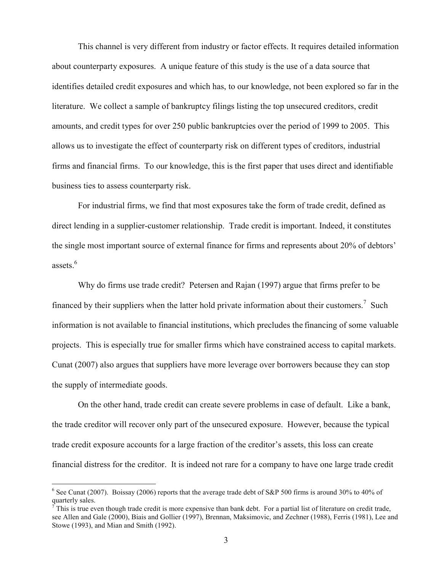This channel is very different from industry or factor effects. It requires detailed information about counterparty exposures. A unique feature of this study is the use of a data source that identifies detailed credit exposures and which has, to our knowledge, not been explored so far in the literature. We collect a sample of bankruptcy filings listing the top unsecured creditors, credit amounts, and credit types for over 250 public bankruptcies over the period of 1999 to 2005. This allows us to investigate the effect of counterparty risk on different types of creditors, industrial firms and financial firms. To our knowledge, this is the first paper that uses direct and identifiable business ties to assess counterparty risk.

For industrial firms, we find that most exposures take the form of trade credit, defined as direct lending in a supplier-customer relationship. Trade credit is important. Indeed, it constitutes the single most important source of external finance for firms and represents about 20% of debtors' assets.<sup>6</sup>

Why do firms use trade credit? Petersen and Rajan (1997) argue that firms prefer to be financed by their suppliers when the latter hold private information about their customers.<sup>7</sup> Such information is not available to financial institutions, which precludes the financing of some valuable projects. This is especially true for smaller firms which have constrained access to capital markets. Cunat (2007) also argues that suppliers have more leverage over borrowers because they can stop the supply of intermediate goods.

On the other hand, trade credit can create severe problems in case of default. Like a bank, the trade creditor will recover only part of the unsecured exposure. However, because the typical trade credit exposure accounts for a large fraction of the creditor's assets, this loss can create financial distress for the creditor. It is indeed not rare for a company to have one large trade credit

<sup>&</sup>lt;sup>6</sup> See Cunat (2007). Boissay (2006) reports that the average trade debt of S&P 500 firms is around 30% to 40% of quarterly sales.

 $\vec{T}$  This is true even though trade credit is more expensive than bank debt. For a partial list of literature on credit trade, see Allen and Gale (2000), Biais and Gollier (1997), Brennan, Maksimovic, and Zechner (1988), Ferris (1981), Lee and Stowe (1993), and Mian and Smith (1992).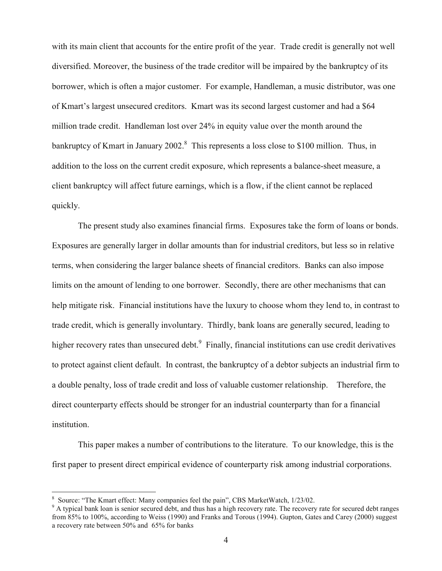with its main client that accounts for the entire profit of the year. Trade credit is generally not well diversified. Moreover, the business of the trade creditor will be impaired by the bankruptcy of its borrower, which is often a major customer. For example, Handleman, a music distributor, was one of Kmart's largest unsecured creditors. Kmart was its second largest customer and had a \$64 million trade credit. Handleman lost over 24% in equity value over the month around the bankruptcy of Kmart in January 2002.<sup>8</sup> This represents a loss close to \$100 million. Thus, in addition to the loss on the current credit exposure, which represents a balance-sheet measure, a client bankruptcy will affect future earnings, which is a flow, if the client cannot be replaced quickly.

The present study also examines financial firms. Exposures take the form of loans or bonds. Exposures are generally larger in dollar amounts than for industrial creditors, but less so in relative terms, when considering the larger balance sheets of financial creditors. Banks can also impose limits on the amount of lending to one borrower. Secondly, there are other mechanisms that can help mitigate risk. Financial institutions have the luxury to choose whom they lend to, in contrast to trade credit, which is generally involuntary. Thirdly, bank loans are generally secured, leading to higher recovery rates than unsecured debt. $9$  Finally, financial institutions can use credit derivatives to protect against client default. In contrast, the bankruptcy of a debtor subjects an industrial firm to a double penalty, loss of trade credit and loss of valuable customer relationship. Therefore, the direct counterparty effects should be stronger for an industrial counterparty than for a financial institution.

This paper makes a number of contributions to the literature. To our knowledge, this is the first paper to present direct empirical evidence of counterparty risk among industrial corporations.

<u>.</u>

<sup>8</sup> Source: "The Kmart effect: Many companies feel the pain", CBS MarketWatch, 1/23/02.

<sup>&</sup>lt;sup>9</sup> A typical bank loan is senior secured debt, and thus has a high recovery rate. The recovery rate for secured debt ranges from 85% to 100%, according to Weiss (1990) and Franks and Torous (1994). Gupton, Gates and Carey (2000) suggest a recovery rate between 50% and 65% for banks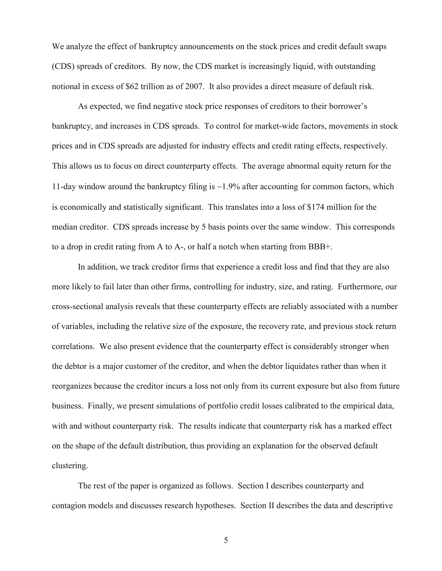We analyze the effect of bankruptcy announcements on the stock prices and credit default swaps (CDS) spreads of creditors. By now, the CDS market is increasingly liquid, with outstanding notional in excess of \$62 trillion as of 2007. It also provides a direct measure of default risk.

As expected, we find negative stock price responses of creditors to their borrower's bankruptcy, and increases in CDS spreads. To control for market-wide factors, movements in stock prices and in CDS spreads are adjusted for industry effects and credit rating effects, respectively. This allows us to focus on direct counterparty effects. The average abnormal equity return for the 11-day window around the bankruptcy filing is −1.9% after accounting for common factors, which is economically and statistically significant. This translates into a loss of \$174 million for the median creditor. CDS spreads increase by 5 basis points over the same window. This corresponds to a drop in credit rating from A to A-, or half a notch when starting from BBB+.

In addition, we track creditor firms that experience a credit loss and find that they are also more likely to fail later than other firms, controlling for industry, size, and rating. Furthermore, our cross-sectional analysis reveals that these counterparty effects are reliably associated with a number of variables, including the relative size of the exposure, the recovery rate, and previous stock return correlations. We also present evidence that the counterparty effect is considerably stronger when the debtor is a major customer of the creditor, and when the debtor liquidates rather than when it reorganizes because the creditor incurs a loss not only from its current exposure but also from future business. Finally, we present simulations of portfolio credit losses calibrated to the empirical data, with and without counterparty risk. The results indicate that counterparty risk has a marked effect on the shape of the default distribution, thus providing an explanation for the observed default clustering.

The rest of the paper is organized as follows. Section I describes counterparty and contagion models and discusses research hypotheses. Section II describes the data and descriptive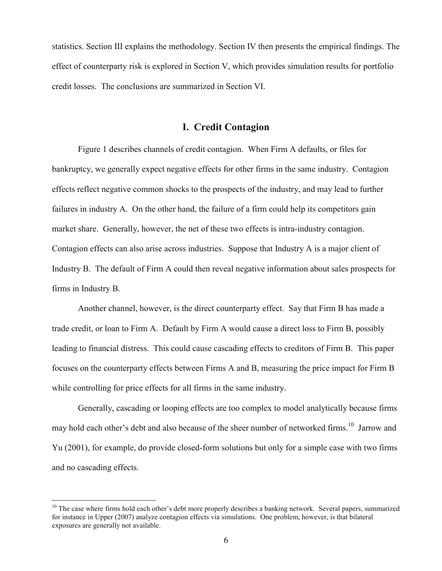statistics. Section III explains the methodology. Section IV then presents the empirical findings. The effect of counterparty risk is explored in Section V, which provides simulation results for portfolio credit losses. The conclusions are summarized in Section VI.

### **I. Credit Contagion**

Figure 1 describes channels of credit contagion. When Firm A defaults, or files for bankruptcy, we generally expect negative effects for other firms in the same industry. Contagion effects reflect negative common shocks to the prospects of the industry, and may lead to further failures in industry A. On the other hand, the failure of a firm could help its competitors gain market share. Generally, however, the net of these two effects is intra-industry contagion. Contagion effects can also arise across industries. Suppose that Industry A is a major client of Industry B. The default of Firm A could then reveal negative information about sales prospects for firms in Industry B.

Another channel, however, is the direct counterparty effect. Say that Firm B has made a trade credit, or loan to Firm A. Default by Firm A would cause a direct loss to Firm B, possibly leading to financial distress. This could cause cascading effects to creditors of Firm B. This paper focuses on the counterparty effects between Firms A and B, measuring the price impact for Firm B while controlling for price effects for all firms in the same industry.

Generally, cascading or looping effects are too complex to model analytically because firms may hold each other's debt and also because of the sheer number of networked firms.<sup>10</sup> Jarrow and Yu (2001), for example, do provide closed-form solutions but only for a simple case with two firms and no cascading effects.

 $10$  The case where firms hold each other's debt more properly describes a banking network. Several papers, summarized for instance in Upper (2007) analyze contagion effects via simulations. One problem, however, is that bilateral exposures are generally not available.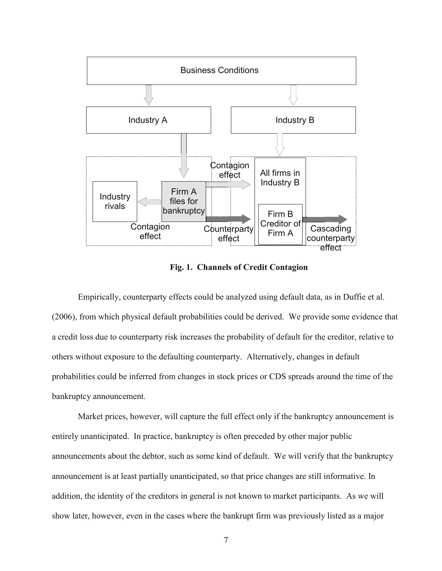

**Fig. 1. Channels of Credit Contagion** 

Empirically, counterparty effects could be analyzed using default data, as in Duffie et al. (2006), from which physical default probabilities could be derived. We provide some evidence that a credit loss due to counterparty risk increases the probability of default for the creditor, relative to others without exposure to the defaulting counterparty. Alternatively, changes in default probabilities could be inferred from changes in stock prices or CDS spreads around the time of the bankruptcy announcement.

Market prices, however, will capture the full effect only if the bankruptcy announcement is entirely unanticipated. In practice, bankruptcy is often preceded by other major public announcements about the debtor, such as some kind of default. We will verify that the bankruptcy announcement is at least partially unanticipated, so that price changes are still informative. In addition, the identity of the creditors in general is not known to market participants. As we will show later, however, even in the cases where the bankrupt firm was previously listed as a major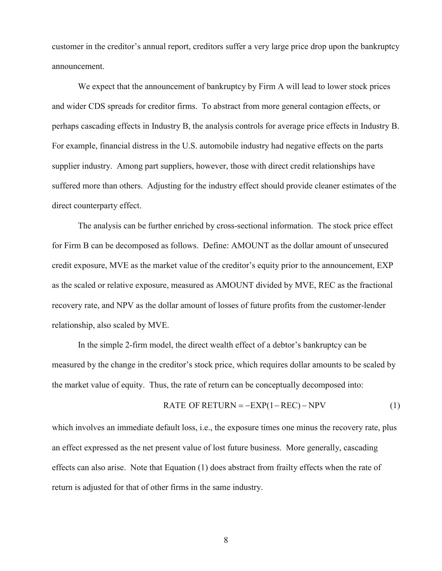customer in the creditor's annual report, creditors suffer a very large price drop upon the bankruptcy announcement.

We expect that the announcement of bankruptcy by Firm A will lead to lower stock prices and wider CDS spreads for creditor firms. To abstract from more general contagion effects, or perhaps cascading effects in Industry B, the analysis controls for average price effects in Industry B. For example, financial distress in the U.S. automobile industry had negative effects on the parts supplier industry. Among part suppliers, however, those with direct credit relationships have suffered more than others. Adjusting for the industry effect should provide cleaner estimates of the direct counterparty effect.

The analysis can be further enriched by cross-sectional information. The stock price effect for Firm B can be decomposed as follows. Define: AMOUNT as the dollar amount of unsecured credit exposure, MVE as the market value of the creditor's equity prior to the announcement, EXP as the scaled or relative exposure, measured as AMOUNT divided by MVE, REC as the fractional recovery rate, and NPV as the dollar amount of losses of future profits from the customer-lender relationship, also scaled by MVE.

In the simple 2-firm model, the direct wealth effect of a debtor's bankruptcy can be measured by the change in the creditor's stock price, which requires dollar amounts to be scaled by the market value of equity. Thus, the rate of return can be conceptually decomposed into:

RATE OF RETURN = 
$$
-EXP(1-REC) - NPV
$$
 (1)

which involves an immediate default loss, i.e., the exposure times one minus the recovery rate, plus an effect expressed as the net present value of lost future business. More generally, cascading effects can also arise. Note that Equation (1) does abstract from frailty effects when the rate of return is adjusted for that of other firms in the same industry.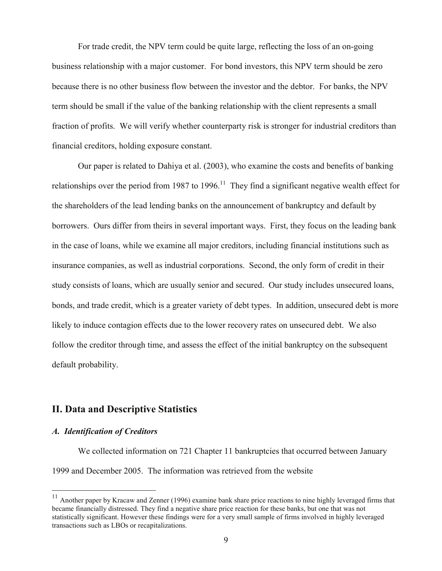For trade credit, the NPV term could be quite large, reflecting the loss of an on-going business relationship with a major customer. For bond investors, this NPV term should be zero because there is no other business flow between the investor and the debtor. For banks, the NPV term should be small if the value of the banking relationship with the client represents a small fraction of profits. We will verify whether counterparty risk is stronger for industrial creditors than financial creditors, holding exposure constant.

Our paper is related to Dahiya et al. (2003), who examine the costs and benefits of banking relationships over the period from 1987 to 1996.<sup>11</sup> They find a significant negative wealth effect for the shareholders of the lead lending banks on the announcement of bankruptcy and default by borrowers. Ours differ from theirs in several important ways. First, they focus on the leading bank in the case of loans, while we examine all major creditors, including financial institutions such as insurance companies, as well as industrial corporations. Second, the only form of credit in their study consists of loans, which are usually senior and secured. Our study includes unsecured loans, bonds, and trade credit, which is a greater variety of debt types. In addition, unsecured debt is more likely to induce contagion effects due to the lower recovery rates on unsecured debt. We also follow the creditor through time, and assess the effect of the initial bankruptcy on the subsequent default probability.

### **II. Data and Descriptive Statistics**

### *A. Identification of Creditors*

<u>.</u>

We collected information on 721 Chapter 11 bankruptcies that occurred between January 1999 and December 2005. The information was retrieved from the website

 $11$  Another paper by Kracaw and Zenner (1996) examine bank share price reactions to nine highly leveraged firms that became financially distressed. They find a negative share price reaction for these banks, but one that was not statistically significant. However these findings were for a very small sample of firms involved in highly leveraged transactions such as LBOs or recapitalizations.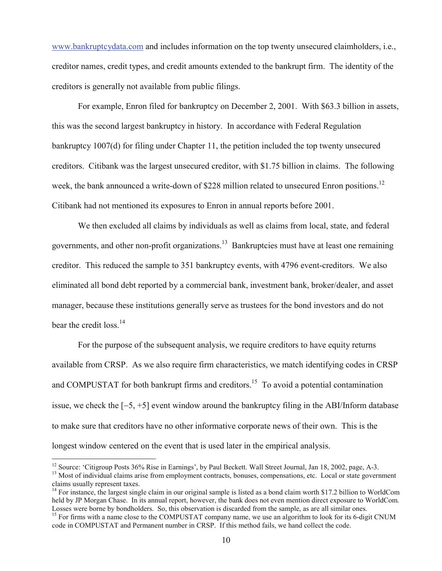www.bankruptcydata.com and includes information on the top twenty unsecured claimholders, i.e., creditor names, credit types, and credit amounts extended to the bankrupt firm. The identity of the creditors is generally not available from public filings.

For example, Enron filed for bankruptcy on December 2, 2001. With \$63.3 billion in assets, this was the second largest bankruptcy in history. In accordance with Federal Regulation bankruptcy 1007(d) for filing under Chapter 11, the petition included the top twenty unsecured creditors. Citibank was the largest unsecured creditor, with \$1.75 billion in claims. The following week, the bank announced a write-down of \$228 million related to unsecured Enron positions.<sup>12</sup> Citibank had not mentioned its exposures to Enron in annual reports before 2001.

We then excluded all claims by individuals as well as claims from local, state, and federal governments, and other non-profit organizations.<sup>13</sup> Bankruptcies must have at least one remaining creditor. This reduced the sample to 351 bankruptcy events, with 4796 event-creditors. We also eliminated all bond debt reported by a commercial bank, investment bank, broker/dealer, and asset manager, because these institutions generally serve as trustees for the bond investors and do not bear the credit loss.<sup>14</sup>

For the purpose of the subsequent analysis, we require creditors to have equity returns available from CRSP. As we also require firm characteristics, we match identifying codes in CRSP and COMPUSTAT for both bankrupt firms and creditors.<sup>15</sup> To avoid a potential contamination issue, we check the [−5, +5] event window around the bankruptcy filing in the ABI/Inform database to make sure that creditors have no other informative corporate news of their own. This is the longest window centered on the event that is used later in the empirical analysis.

<sup>&</sup>lt;sup>12</sup> Source: 'Citigroup Posts 36% Rise in Earnings', by Paul Beckett. Wall Street Journal, Jan 18, 2002, page, A-3.

<sup>&</sup>lt;sup>13</sup> Most of individual claims arise from employment contracts, bonuses, compensations, etc. Local or state government claims usually represent taxes.

<sup>&</sup>lt;sup>14</sup> For instance, the largest single claim in our original sample is listed as a bond claim worth \$17.2 billion to WorldCom held by JP Morgan Chase. In its annual report, however, the bank does not even mention direct exposure to WorldCom. Losses were borne by bondholders. So, this observation is discarded from the sample, as are all similar ones.

<sup>&</sup>lt;sup>15</sup> For firms with a name close to the COMPUSTAT company name, we use an algorithm to look for its 6-digit CNUM code in COMPUSTAT and Permanent number in CRSP. If this method fails, we hand collect the code.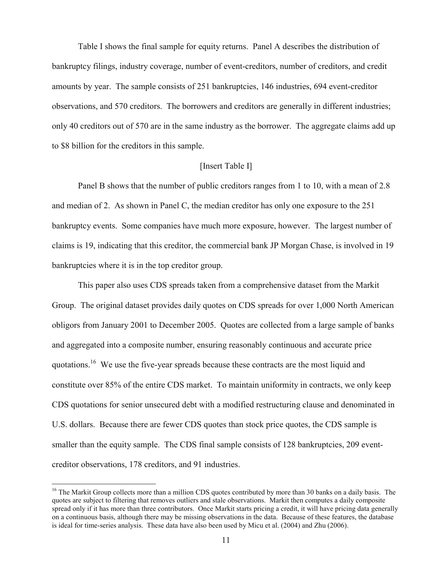Table I shows the final sample for equity returns. Panel A describes the distribution of bankruptcy filings, industry coverage, number of event-creditors, number of creditors, and credit amounts by year. The sample consists of 251 bankruptcies, 146 industries, 694 event-creditor observations, and 570 creditors. The borrowers and creditors are generally in different industries; only 40 creditors out of 570 are in the same industry as the borrower. The aggregate claims add up to \$8 billion for the creditors in this sample.

### [Insert Table I]

Panel B shows that the number of public creditors ranges from 1 to 10, with a mean of 2.8 and median of 2. As shown in Panel C, the median creditor has only one exposure to the 251 bankruptcy events. Some companies have much more exposure, however. The largest number of claims is 19, indicating that this creditor, the commercial bank JP Morgan Chase, is involved in 19 bankruptcies where it is in the top creditor group.

This paper also uses CDS spreads taken from a comprehensive dataset from the Markit Group. The original dataset provides daily quotes on CDS spreads for over 1,000 North American obligors from January 2001 to December 2005. Quotes are collected from a large sample of banks and aggregated into a composite number, ensuring reasonably continuous and accurate price quotations.<sup>16</sup> We use the five-year spreads because these contracts are the most liquid and constitute over 85% of the entire CDS market. To maintain uniformity in contracts, we only keep CDS quotations for senior unsecured debt with a modified restructuring clause and denominated in U.S. dollars. Because there are fewer CDS quotes than stock price quotes, the CDS sample is smaller than the equity sample. The CDS final sample consists of 128 bankruptcies, 209 eventcreditor observations, 178 creditors, and 91 industries.

 $16$  The Markit Group collects more than a million CDS quotes contributed by more than 30 banks on a daily basis. The quotes are subject to filtering that removes outliers and stale observations. Markit then computes a daily composite spread only if it has more than three contributors. Once Markit starts pricing a credit, it will have pricing data generally on a continuous basis, although there may be missing observations in the data. Because of these features, the database is ideal for time-series analysis. These data have also been used by Micu et al. (2004) and Zhu (2006).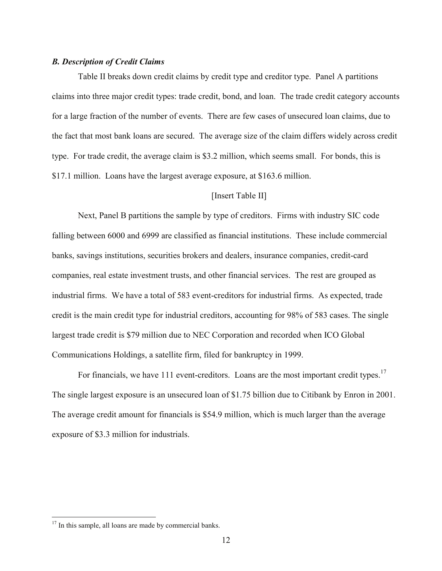#### *B. Description of Credit Claims*

Table II breaks down credit claims by credit type and creditor type. Panel A partitions claims into three major credit types: trade credit, bond, and loan. The trade credit category accounts for a large fraction of the number of events. There are few cases of unsecured loan claims, due to the fact that most bank loans are secured. The average size of the claim differs widely across credit type. For trade credit, the average claim is \$3.2 million, which seems small. For bonds, this is \$17.1 million. Loans have the largest average exposure, at \$163.6 million.

#### [Insert Table II]

Next, Panel B partitions the sample by type of creditors. Firms with industry SIC code falling between 6000 and 6999 are classified as financial institutions. These include commercial banks, savings institutions, securities brokers and dealers, insurance companies, credit-card companies, real estate investment trusts, and other financial services. The rest are grouped as industrial firms. We have a total of 583 event-creditors for industrial firms. As expected, trade credit is the main credit type for industrial creditors, accounting for 98% of 583 cases. The single largest trade credit is \$79 million due to NEC Corporation and recorded when ICO Global Communications Holdings, a satellite firm, filed for bankruptcy in 1999.

For financials, we have 111 event-creditors. Loans are the most important credit types.<sup>17</sup> The single largest exposure is an unsecured loan of \$1.75 billion due to Citibank by Enron in 2001. The average credit amount for financials is \$54.9 million, which is much larger than the average exposure of \$3.3 million for industrials.

<u>.</u>

 $17$  In this sample, all loans are made by commercial banks.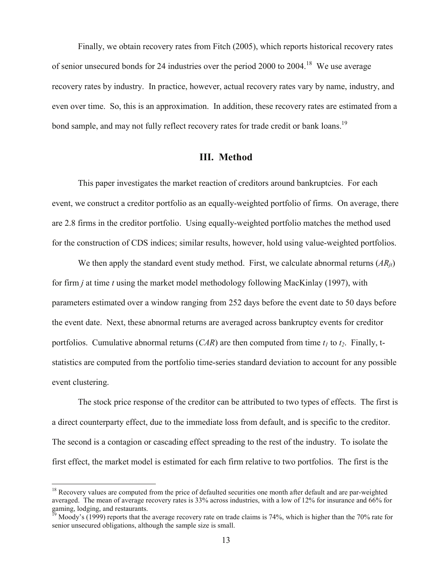Finally, we obtain recovery rates from Fitch (2005), which reports historical recovery rates of senior unsecured bonds for 24 industries over the period 2000 to 2004.<sup>18</sup> We use average recovery rates by industry. In practice, however, actual recovery rates vary by name, industry, and even over time. So, this is an approximation. In addition, these recovery rates are estimated from a bond sample, and may not fully reflect recovery rates for trade credit or bank loans.<sup>19</sup>

### **III. Method**

This paper investigates the market reaction of creditors around bankruptcies. For each event, we construct a creditor portfolio as an equally-weighted portfolio of firms. On average, there are 2.8 firms in the creditor portfolio. Using equally-weighted portfolio matches the method used for the construction of CDS indices; similar results, however, hold using value-weighted portfolios.

We then apply the standard event study method. First, we calculate abnormal returns (AR<sub>it</sub>) for firm *j* at time *t* using the market model methodology following MacKinlay (1997), with parameters estimated over a window ranging from 252 days before the event date to 50 days before the event date. Next, these abnormal returns are averaged across bankruptcy events for creditor portfolios. Cumulative abnormal returns  $(CAR)$  are then computed from time  $t_1$  to  $t_2$ . Finally, tstatistics are computed from the portfolio time-series standard deviation to account for any possible event clustering.

The stock price response of the creditor can be attributed to two types of effects. The first is a direct counterparty effect, due to the immediate loss from default, and is specific to the creditor. The second is a contagion or cascading effect spreading to the rest of the industry. To isolate the first effect, the market model is estimated for each firm relative to two portfolios. The first is the

 $18$  Recovery values are computed from the price of defaulted securities one month after default and are par-weighted averaged. The mean of average recovery rates is 33% across industries, with a low of 12% for insurance and 66% for gaming, lodging, and restaurants.

<sup>19</sup> Moody's (1999) reports that the average recovery rate on trade claims is 74%, which is higher than the 70% rate for senior unsecured obligations, although the sample size is small.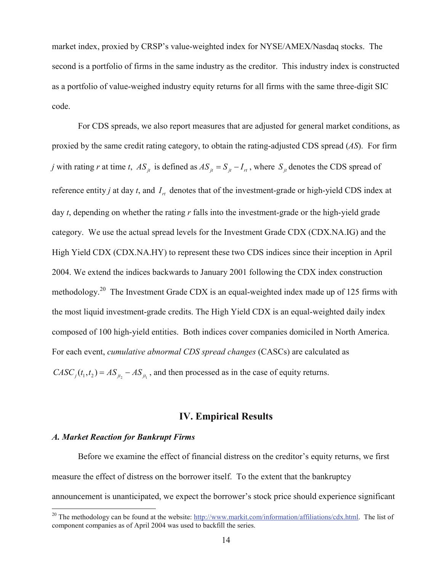market index, proxied by CRSP's value-weighted index for NYSE/AMEX/Nasdaq stocks. The second is a portfolio of firms in the same industry as the creditor. This industry index is constructed as a portfolio of value-weighed industry equity returns for all firms with the same three-digit SIC code.

For CDS spreads, we also report measures that are adjusted for general market conditions, as proxied by the same credit rating category, to obtain the rating-adjusted CDS spread (*AS*). For firm *j* with rating *r* at time *t*,  $AS_{it}$  is defined as  $AS_{it} = S_{it} - I_{rt}$ , where  $S_{it}$  denotes the CDS spread of reference entity *j* at day *t*, and  $I<sub>rt</sub>$  denotes that of the investment-grade or high-yield CDS index at day *t*, depending on whether the rating *r* falls into the investment-grade or the high-yield grade category. We use the actual spread levels for the Investment Grade CDX (CDX.NA.IG) and the High Yield CDX (CDX.NA.HY) to represent these two CDS indices since their inception in April 2004. We extend the indices backwards to January 2001 following the CDX index construction methodology.<sup>20</sup> The Investment Grade CDX is an equal-weighted index made up of 125 firms with the most liquid investment-grade credits. The High Yield CDX is an equal-weighted daily index composed of 100 high-yield entities. Both indices cover companies domiciled in North America. For each event, *cumulative abnormal CDS spread changes* (CASCs) are calculated as  $CASC_j(t_1, t_2) = AS_{jt_2} - AS_{jt_1}$ , and then processed as in the case of equity returns.

### **IV. Empirical Results**

### *A. Market Reaction for Bankrupt Firms*

1

Before we examine the effect of financial distress on the creditor's equity returns, we first measure the effect of distress on the borrower itself. To the extent that the bankruptcy announcement is unanticipated, we expect the borrower's stock price should experience significant

<sup>&</sup>lt;sup>20</sup> The methodology can be found at the website:  $\frac{http://www.mathit.com/information/affiliations/cdx.html}$ . The list of component companies as of April 2004 was used to backfill the series.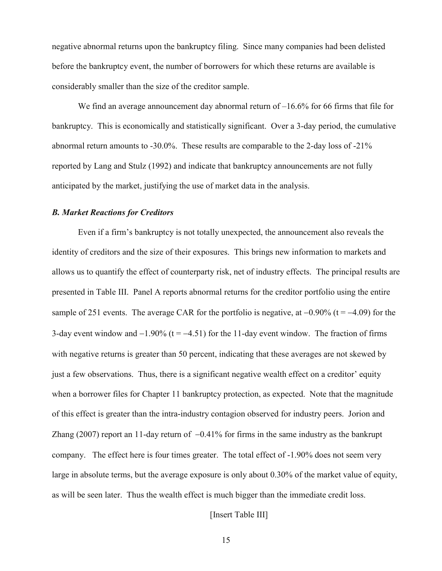negative abnormal returns upon the bankruptcy filing. Since many companies had been delisted before the bankruptcy event, the number of borrowers for which these returns are available is considerably smaller than the size of the creditor sample.

We find an average announcement day abnormal return of  $-16.6\%$  for 66 firms that file for bankruptcy. This is economically and statistically significant. Over a 3-day period, the cumulative abnormal return amounts to -30.0%. These results are comparable to the 2-day loss of -21% reported by Lang and Stulz (1992) and indicate that bankruptcy announcements are not fully anticipated by the market, justifying the use of market data in the analysis.

#### *B. Market Reactions for Creditors*

Even if a firm's bankruptcy is not totally unexpected, the announcement also reveals the identity of creditors and the size of their exposures. This brings new information to markets and allows us to quantify the effect of counterparty risk, net of industry effects. The principal results are presented in Table III. Panel A reports abnormal returns for the creditor portfolio using the entire sample of 251 events. The average CAR for the portfolio is negative, at  $-0.90\%$  (t =  $-4.09$ ) for the 3-day event window and  $-1.90\%$  (t =  $-4.51$ ) for the 11-day event window. The fraction of firms with negative returns is greater than 50 percent, indicating that these averages are not skewed by just a few observations. Thus, there is a significant negative wealth effect on a creditor' equity when a borrower files for Chapter 11 bankruptcy protection, as expected. Note that the magnitude of this effect is greater than the intra-industry contagion observed for industry peers. Jorion and Zhang (2007) report an 11-day return of −0.41% for firms in the same industry as the bankrupt company. The effect here is four times greater. The total effect of -1.90% does not seem very large in absolute terms, but the average exposure is only about 0.30% of the market value of equity, as will be seen later. Thus the wealth effect is much bigger than the immediate credit loss.

#### [Insert Table III]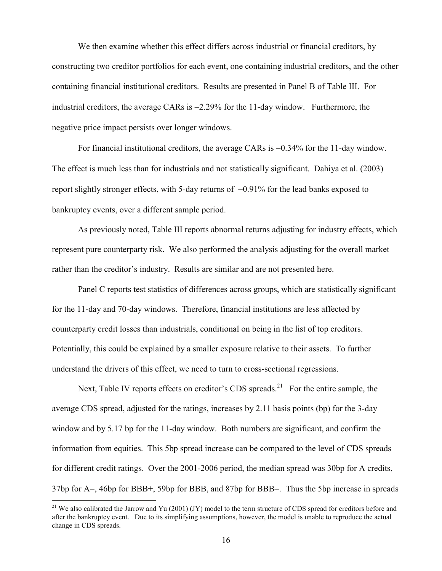We then examine whether this effect differs across industrial or financial creditors, by constructing two creditor portfolios for each event, one containing industrial creditors, and the other containing financial institutional creditors. Results are presented in Panel B of Table III. For industrial creditors, the average CARs is −2.29% for the 11-day window. Furthermore, the negative price impact persists over longer windows.

For financial institutional creditors, the average CARs is −0.34% for the 11-day window. The effect is much less than for industrials and not statistically significant. Dahiya et al. (2003) report slightly stronger effects, with 5-day returns of −0.91% for the lead banks exposed to bankruptcy events, over a different sample period.

As previously noted, Table III reports abnormal returns adjusting for industry effects, which represent pure counterparty risk. We also performed the analysis adjusting for the overall market rather than the creditor's industry. Results are similar and are not presented here.

Panel C reports test statistics of differences across groups, which are statistically significant for the 11-day and 70-day windows. Therefore, financial institutions are less affected by counterparty credit losses than industrials, conditional on being in the list of top creditors. Potentially, this could be explained by a smaller exposure relative to their assets. To further understand the drivers of this effect, we need to turn to cross-sectional regressions.

Next, Table IV reports effects on creditor's CDS spreads.<sup>21</sup> For the entire sample, the average CDS spread, adjusted for the ratings, increases by 2.11 basis points (bp) for the 3-day window and by 5.17 bp for the 11-day window. Both numbers are significant, and confirm the information from equities. This 5bp spread increase can be compared to the level of CDS spreads for different credit ratings. Over the 2001-2006 period, the median spread was 30bp for A credits, 37bp for A−, 46bp for BBB+, 59bp for BBB, and 87bp for BBB−. Thus the 5bp increase in spreads

<sup>&</sup>lt;sup>21</sup> We also calibrated the Jarrow and Yu (2001) (JY) model to the term structure of CDS spread for creditors before and after the bankruptcy event. Due to its simplifying assumptions, however, the model is unable to reproduce the actual change in CDS spreads.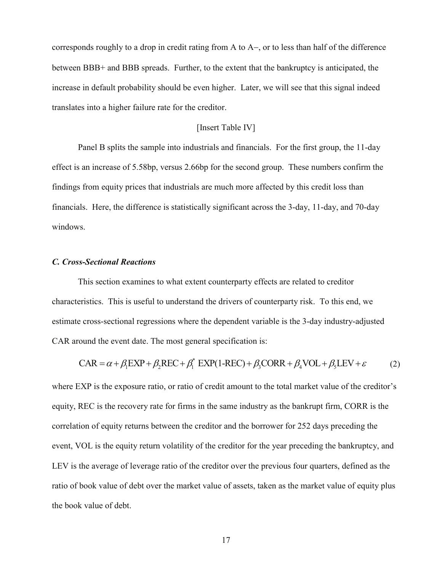corresponds roughly to a drop in credit rating from A to A−, or to less than half of the difference between BBB+ and BBB spreads. Further, to the extent that the bankruptcy is anticipated, the increase in default probability should be even higher. Later, we will see that this signal indeed translates into a higher failure rate for the creditor.

### [Insert Table IV]

Panel B splits the sample into industrials and financials. For the first group, the 11-day effect is an increase of 5.58bp, versus 2.66bp for the second group. These numbers confirm the findings from equity prices that industrials are much more affected by this credit loss than financials. Here, the difference is statistically significant across the 3-day, 11-day, and 70-day windows.

### *C. Cross-Sectional Reactions*

This section examines to what extent counterparty effects are related to creditor characteristics. This is useful to understand the drivers of counterparty risk. To this end, we estimate cross-sectional regressions where the dependent variable is the 3-day industry-adjusted CAR around the event date. The most general specification is:

$$
CAR = \alpha + \beta_1 EXP + \beta_2 REC + \beta_1^* EXP(1-REC) + \beta_3 CORR + \beta_4 VOL + \beta_5 LEV + \varepsilon
$$
 (2)

where EXP is the exposure ratio, or ratio of credit amount to the total market value of the creditor's equity, REC is the recovery rate for firms in the same industry as the bankrupt firm, CORR is the correlation of equity returns between the creditor and the borrower for 252 days preceding the event, VOL is the equity return volatility of the creditor for the year preceding the bankruptcy, and LEV is the average of leverage ratio of the creditor over the previous four quarters, defined as the ratio of book value of debt over the market value of assets, taken as the market value of equity plus the book value of debt.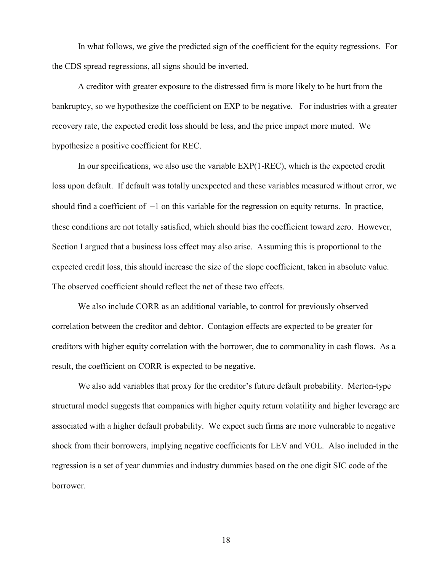In what follows, we give the predicted sign of the coefficient for the equity regressions. For the CDS spread regressions, all signs should be inverted.

A creditor with greater exposure to the distressed firm is more likely to be hurt from the bankruptcy, so we hypothesize the coefficient on EXP to be negative. For industries with a greater recovery rate, the expected credit loss should be less, and the price impact more muted. We hypothesize a positive coefficient for REC.

In our specifications, we also use the variable EXP(1-REC), which is the expected credit loss upon default. If default was totally unexpected and these variables measured without error, we should find a coefficient of −1 on this variable for the regression on equity returns. In practice, these conditions are not totally satisfied, which should bias the coefficient toward zero. However, Section I argued that a business loss effect may also arise. Assuming this is proportional to the expected credit loss, this should increase the size of the slope coefficient, taken in absolute value. The observed coefficient should reflect the net of these two effects.

We also include CORR as an additional variable, to control for previously observed correlation between the creditor and debtor. Contagion effects are expected to be greater for creditors with higher equity correlation with the borrower, due to commonality in cash flows. As a result, the coefficient on CORR is expected to be negative.

We also add variables that proxy for the creditor's future default probability. Merton-type structural model suggests that companies with higher equity return volatility and higher leverage are associated with a higher default probability. We expect such firms are more vulnerable to negative shock from their borrowers, implying negative coefficients for LEV and VOL. Also included in the regression is a set of year dummies and industry dummies based on the one digit SIC code of the borrower.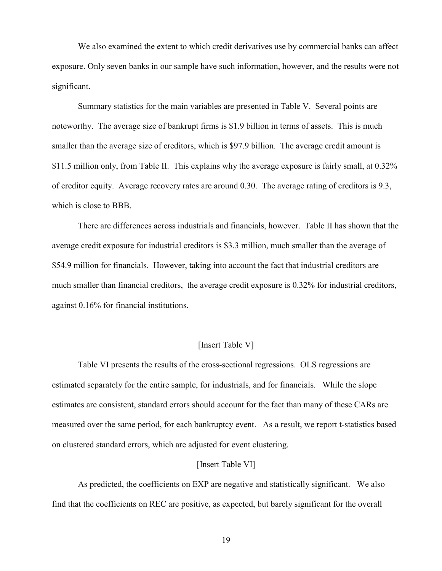We also examined the extent to which credit derivatives use by commercial banks can affect exposure. Only seven banks in our sample have such information, however, and the results were not significant.

Summary statistics for the main variables are presented in Table V. Several points are noteworthy. The average size of bankrupt firms is \$1.9 billion in terms of assets. This is much smaller than the average size of creditors, which is \$97.9 billion. The average credit amount is \$11.5 million only, from Table II. This explains why the average exposure is fairly small, at 0.32% of creditor equity. Average recovery rates are around 0.30. The average rating of creditors is 9.3, which is close to BBB.

There are differences across industrials and financials, however. Table II has shown that the average credit exposure for industrial creditors is \$3.3 million, much smaller than the average of \$54.9 million for financials. However, taking into account the fact that industrial creditors are much smaller than financial creditors, the average credit exposure is 0.32% for industrial creditors, against 0.16% for financial institutions.

### [Insert Table V]

Table VI presents the results of the cross-sectional regressions. OLS regressions are estimated separately for the entire sample, for industrials, and for financials. While the slope estimates are consistent, standard errors should account for the fact than many of these CARs are measured over the same period, for each bankruptcy event. As a result, we report t-statistics based on clustered standard errors, which are adjusted for event clustering.

#### [Insert Table VI]

As predicted, the coefficients on EXP are negative and statistically significant. We also find that the coefficients on REC are positive, as expected, but barely significant for the overall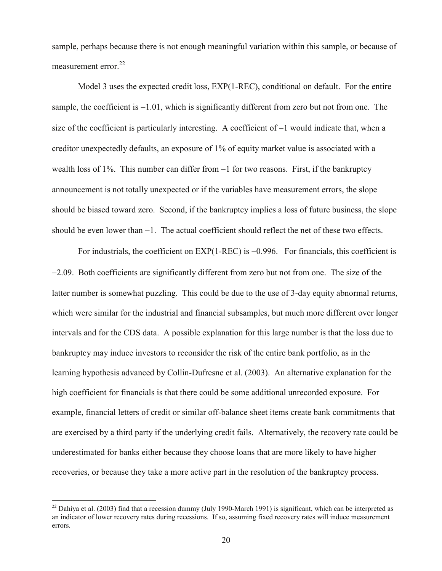sample, perhaps because there is not enough meaningful variation within this sample, or because of measurement error. $^{22}$ 

Model 3 uses the expected credit loss, EXP(1-REC), conditional on default. For the entire sample, the coefficient is −1.01, which is significantly different from zero but not from one. The size of the coefficient is particularly interesting. A coefficient of −1 would indicate that, when a creditor unexpectedly defaults, an exposure of 1% of equity market value is associated with a wealth loss of 1%. This number can differ from −1 for two reasons. First, if the bankruptcy announcement is not totally unexpected or if the variables have measurement errors, the slope should be biased toward zero. Second, if the bankruptcy implies a loss of future business, the slope should be even lower than −1. The actual coefficient should reflect the net of these two effects.

For industrials, the coefficient on EXP(1-REC) is −0.996. For financials, this coefficient is −2.09. Both coefficients are significantly different from zero but not from one. The size of the latter number is somewhat puzzling. This could be due to the use of 3-day equity abnormal returns, which were similar for the industrial and financial subsamples, but much more different over longer intervals and for the CDS data. A possible explanation for this large number is that the loss due to bankruptcy may induce investors to reconsider the risk of the entire bank portfolio, as in the learning hypothesis advanced by Collin-Dufresne et al. (2003). An alternative explanation for the high coefficient for financials is that there could be some additional unrecorded exposure. For example, financial letters of credit or similar off-balance sheet items create bank commitments that are exercised by a third party if the underlying credit fails. Alternatively, the recovery rate could be underestimated for banks either because they choose loans that are more likely to have higher recoveries, or because they take a more active part in the resolution of the bankruptcy process.

 $^{22}$  Dahiva et al. (2003) find that a recession dummy (July 1990-March 1991) is significant, which can be interpreted as an indicator of lower recovery rates during recessions. If so, assuming fixed recovery rates will induce measurement errors.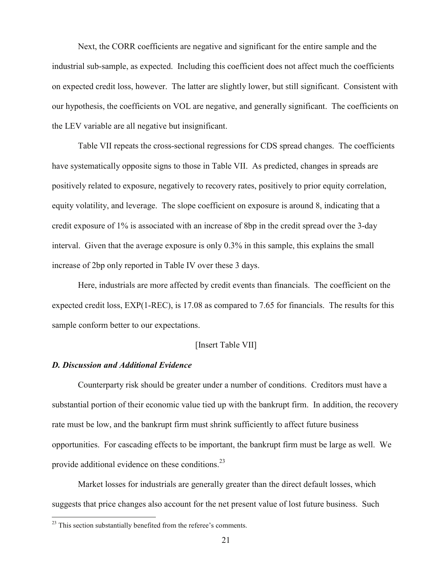Next, the CORR coefficients are negative and significant for the entire sample and the industrial sub-sample, as expected. Including this coefficient does not affect much the coefficients on expected credit loss, however. The latter are slightly lower, but still significant. Consistent with our hypothesis, the coefficients on VOL are negative, and generally significant. The coefficients on the LEV variable are all negative but insignificant.

Table VII repeats the cross-sectional regressions for CDS spread changes. The coefficients have systematically opposite signs to those in Table VII. As predicted, changes in spreads are positively related to exposure, negatively to recovery rates, positively to prior equity correlation, equity volatility, and leverage. The slope coefficient on exposure is around 8, indicating that a credit exposure of 1% is associated with an increase of 8bp in the credit spread over the 3-day interval. Given that the average exposure is only 0.3% in this sample, this explains the small increase of 2bp only reported in Table IV over these 3 days.

Here, industrials are more affected by credit events than financials. The coefficient on the expected credit loss, EXP(1-REC), is 17.08 as compared to 7.65 for financials. The results for this sample conform better to our expectations.

### [Insert Table VII]

#### *D. Discussion and Additional Evidence*

Counterparty risk should be greater under a number of conditions. Creditors must have a substantial portion of their economic value tied up with the bankrupt firm. In addition, the recovery rate must be low, and the bankrupt firm must shrink sufficiently to affect future business opportunities. For cascading effects to be important, the bankrupt firm must be large as well. We provide additional evidence on these conditions.<sup>23</sup>

Market losses for industrials are generally greater than the direct default losses, which suggests that price changes also account for the net present value of lost future business. Such

<u>.</u>

 $2<sup>23</sup>$  This section substantially benefited from the referee's comments.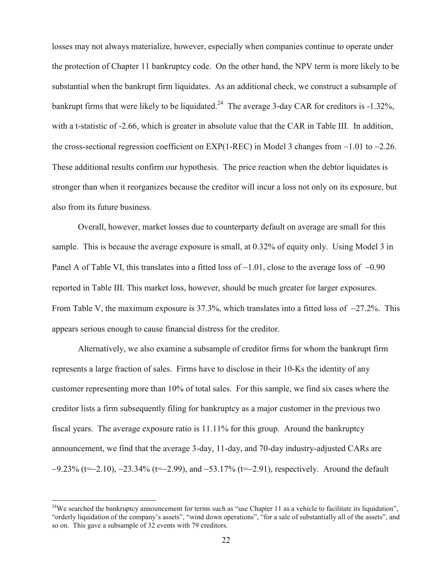losses may not always materialize, however, especially when companies continue to operate under the protection of Chapter 11 bankruptcy code. On the other hand, the NPV term is more likely to be substantial when the bankrupt firm liquidates. As an additional check, we construct a subsample of bankrupt firms that were likely to be liquidated.<sup>24</sup> The average 3-day CAR for creditors is  $-1.32\%$ , with a t-statistic of -2.66, which is greater in absolute value that the CAR in Table III. In addition, the cross-sectional regression coefficient on EXP(1-REC) in Model 3 changes from −1.01 to −2.26. These additional results confirm our hypothesis. The price reaction when the debtor liquidates is stronger than when it reorganizes because the creditor will incur a loss not only on its exposure, but also from its future business.

Overall, however, market losses due to counterparty default on average are small for this sample. This is because the average exposure is small, at 0.32% of equity only. Using Model 3 in Panel A of Table VI, this translates into a fitted loss of −1.01, close to the average loss of −0.90 reported in Table III. This market loss, however, should be much greater for larger exposures. From Table V, the maximum exposure is 37.3%, which translates into a fitted loss of −27.2%. This appears serious enough to cause financial distress for the creditor.

Alternatively, we also examine a subsample of creditor firms for whom the bankrupt firm represents a large fraction of sales. Firms have to disclose in their 10-Ks the identity of any customer representing more than 10% of total sales. For this sample, we find six cases where the creditor lists a firm subsequently filing for bankruptcy as a major customer in the previous two fiscal years. The average exposure ratio is 11.11% for this group. Around the bankruptcy announcement, we find that the average 3-day, 11-day, and 70-day industry-adjusted CARs are −9.23% (t=−2.10), −23.34% (t=−2.99), and −53.17% (t=−2.91), respectively. Around the default

 $24$ We searched the bankruptcy announcement for terms such as "use Chapter 11 as a vehicle to facilitate its liquidation", "orderly liquidation of the company's assets", "wind down operations", "for a sale of substantially all of the assets", and so on. This gave a subsample of 32 events with 79 creditors.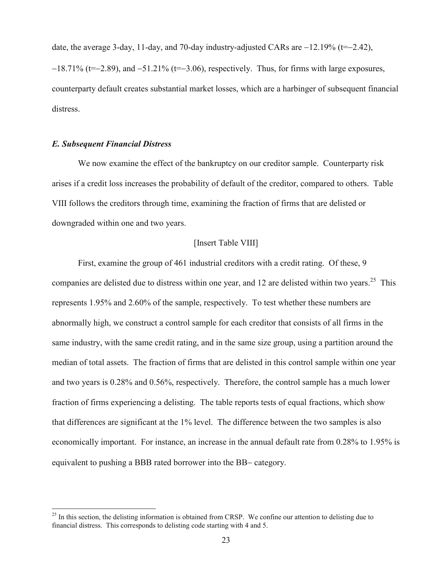date, the average 3-day, 11-day, and 70-day industry-adjusted CARs are −12.19% (t=−2.42),

−18.71% (t=−2.89), and −51.21% (t=−3.06), respectively. Thus, for firms with large exposures, counterparty default creates substantial market losses, which are a harbinger of subsequent financial distress.

### *E. Subsequent Financial Distress*

1

We now examine the effect of the bankruptcy on our creditor sample. Counterparty risk arises if a credit loss increases the probability of default of the creditor, compared to others. Table VIII follows the creditors through time, examining the fraction of firms that are delisted or downgraded within one and two years.

### [Insert Table VIII]

First, examine the group of 461 industrial creditors with a credit rating. Of these, 9 companies are delisted due to distress within one year, and 12 are delisted within two years.<sup>25</sup> This represents 1.95% and 2.60% of the sample, respectively. To test whether these numbers are abnormally high, we construct a control sample for each creditor that consists of all firms in the same industry, with the same credit rating, and in the same size group, using a partition around the median of total assets. The fraction of firms that are delisted in this control sample within one year and two years is 0.28% and 0.56%, respectively. Therefore, the control sample has a much lower fraction of firms experiencing a delisting. The table reports tests of equal fractions, which show that differences are significant at the 1% level. The difference between the two samples is also economically important. For instance, an increase in the annual default rate from 0.28% to 1.95% is equivalent to pushing a BBB rated borrower into the BB− category.

 $25$  In this section, the delisting information is obtained from CRSP. We confine our attention to delisting due to financial distress. This corresponds to delisting code starting with 4 and 5.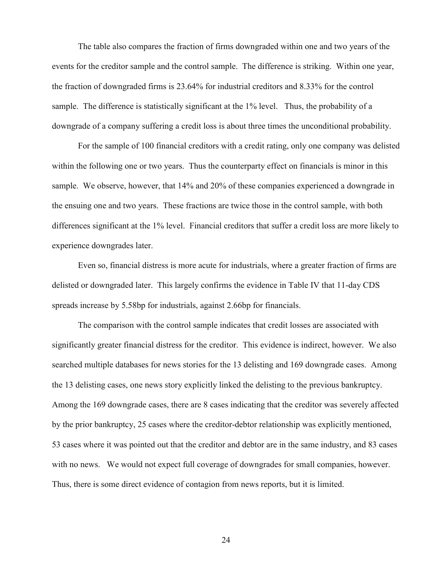The table also compares the fraction of firms downgraded within one and two years of the events for the creditor sample and the control sample. The difference is striking. Within one year, the fraction of downgraded firms is 23.64% for industrial creditors and 8.33% for the control sample. The difference is statistically significant at the 1% level. Thus, the probability of a downgrade of a company suffering a credit loss is about three times the unconditional probability.

For the sample of 100 financial creditors with a credit rating, only one company was delisted within the following one or two years. Thus the counterparty effect on financials is minor in this sample. We observe, however, that 14% and 20% of these companies experienced a downgrade in the ensuing one and two years. These fractions are twice those in the control sample, with both differences significant at the 1% level. Financial creditors that suffer a credit loss are more likely to experience downgrades later.

Even so, financial distress is more acute for industrials, where a greater fraction of firms are delisted or downgraded later. This largely confirms the evidence in Table IV that 11-day CDS spreads increase by 5.58bp for industrials, against 2.66bp for financials.

The comparison with the control sample indicates that credit losses are associated with significantly greater financial distress for the creditor. This evidence is indirect, however. We also searched multiple databases for news stories for the 13 delisting and 169 downgrade cases. Among the 13 delisting cases, one news story explicitly linked the delisting to the previous bankruptcy. Among the 169 downgrade cases, there are 8 cases indicating that the creditor was severely affected by the prior bankruptcy, 25 cases where the creditor-debtor relationship was explicitly mentioned, 53 cases where it was pointed out that the creditor and debtor are in the same industry, and 83 cases with no news. We would not expect full coverage of downgrades for small companies, however. Thus, there is some direct evidence of contagion from news reports, but it is limited.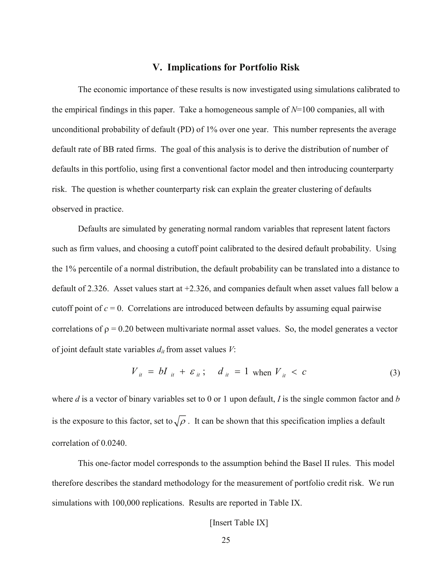### **V. Implications for Portfolio Risk**

The economic importance of these results is now investigated using simulations calibrated to the empirical findings in this paper. Take a homogeneous sample of *N*=100 companies, all with unconditional probability of default (PD) of 1% over one year. This number represents the average default rate of BB rated firms. The goal of this analysis is to derive the distribution of number of defaults in this portfolio, using first a conventional factor model and then introducing counterparty risk. The question is whether counterparty risk can explain the greater clustering of defaults observed in practice.

Defaults are simulated by generating normal random variables that represent latent factors such as firm values, and choosing a cutoff point calibrated to the desired default probability. Using the 1% percentile of a normal distribution, the default probability can be translated into a distance to default of 2.326. Asset values start at +2.326, and companies default when asset values fall below a cutoff point of  $c = 0$ . Correlations are introduced between defaults by assuming equal pairwise correlations of  $\rho = 0.20$  between multivariate normal asset values. So, the model generates a vector of joint default state variables  $d_{it}$  from asset values  $V$ :

$$
V_{it} = bI_{it} + \varepsilon_{it}; \quad d_{it} = 1 \text{ when } V_{it} < c \tag{3}
$$

where *d* is a vector of binary variables set to 0 or 1 upon default, *I* is the single common factor and *b*  is the exposure to this factor, set to  $\sqrt{\rho}$ . It can be shown that this specification implies a default correlation of 0.0240.

This one-factor model corresponds to the assumption behind the Basel II rules. This model therefore describes the standard methodology for the measurement of portfolio credit risk. We run simulations with 100,000 replications. Results are reported in Table IX.

[Insert Table IX]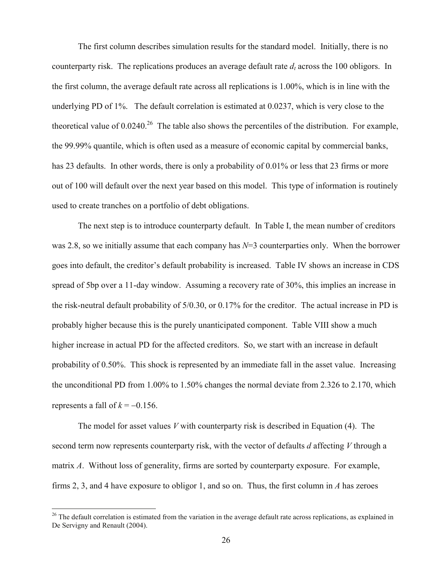The first column describes simulation results for the standard model. Initially, there is no counterparty risk. The replications produces an average default rate  $d_t$  across the 100 obligors. In the first column, the average default rate across all replications is 1.00%, which is in line with the underlying PD of 1%. The default correlation is estimated at 0.0237, which is very close to the theoretical value of  $0.0240$ <sup>26</sup>. The table also shows the percentiles of the distribution. For example, the 99.99% quantile, which is often used as a measure of economic capital by commercial banks, has 23 defaults. In other words, there is only a probability of 0.01% or less that 23 firms or more out of 100 will default over the next year based on this model. This type of information is routinely used to create tranches on a portfolio of debt obligations.

The next step is to introduce counterparty default. In Table I, the mean number of creditors was 2.8, so we initially assume that each company has  $N=3$  counterparties only. When the borrower goes into default, the creditor's default probability is increased. Table IV shows an increase in CDS spread of 5bp over a 11-day window. Assuming a recovery rate of 30%, this implies an increase in the risk-neutral default probability of 5/0.30, or 0.17% for the creditor. The actual increase in PD is probably higher because this is the purely unanticipated component. Table VIII show a much higher increase in actual PD for the affected creditors. So, we start with an increase in default probability of 0.50%. This shock is represented by an immediate fall in the asset value. Increasing the unconditional PD from 1.00% to 1.50% changes the normal deviate from 2.326 to 2.170, which represents a fall of  $k = -0.156$ .

The model for asset values *V* with counterparty risk is described in Equation (4). The second term now represents counterparty risk, with the vector of defaults *d* affecting *V* through a matrix *A*. Without loss of generality, firms are sorted by counterparty exposure. For example, firms 2, 3, and 4 have exposure to obligor 1, and so on. Thus, the first column in *A* has zeroes

 $26$  The default correlation is estimated from the variation in the average default rate across replications, as explained in De Servigny and Renault (2004).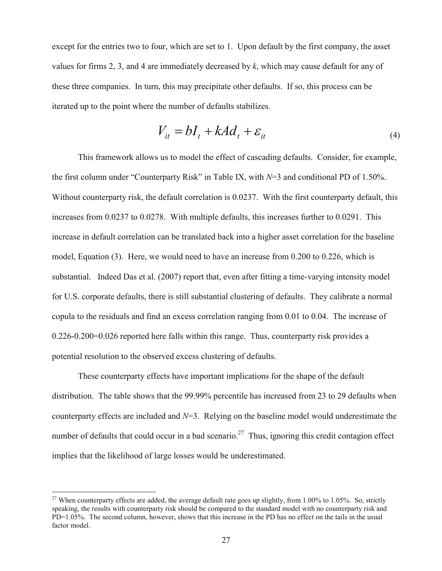except for the entries two to four, which are set to 1. Upon default by the first company, the asset values for firms 2, 3, and 4 are immediately decreased by *k*, which may cause default for any of these three companies. In turn, this may precipitate other defaults. If so, this process can be iterated up to the point where the number of defaults stabilizes.

$$
V_{it} = bI_t + kAd_t + \varepsilon_{it} \tag{4}
$$

This framework allows us to model the effect of cascading defaults. Consider, for example, the first column under "Counterparty Risk" in Table IX, with *N*=3 and conditional PD of 1.50%. Without counterparty risk, the default correlation is 0.0237. With the first counterparty default, this increases from 0.0237 to 0.0278. With multiple defaults, this increases further to 0.0291. This increase in default correlation can be translated back into a higher asset correlation for the baseline model, Equation (3). Here, we would need to have an increase from 0.200 to 0.226, which is substantial. Indeed Das et al. (2007) report that, even after fitting a time-varying intensity model for U.S. corporate defaults, there is still substantial clustering of defaults. They calibrate a normal copula to the residuals and find an excess correlation ranging from 0.01 to 0.04. The increase of 0.226-0.200=0.026 reported here falls within this range. Thus, counterparty risk provides a potential resolution to the observed excess clustering of defaults.

These counterparty effects have important implications for the shape of the default distribution. The table shows that the 99.99% percentile has increased from 23 to 29 defaults when counterparty effects are included and *N*=3. Relying on the baseline model would underestimate the number of defaults that could occur in a bad scenario.<sup>27</sup> Thus, ignoring this credit contagion effect implies that the likelihood of large losses would be underestimated.

<u>.</u>

<sup>&</sup>lt;sup>27</sup> When counterparty effects are added, the average default rate goes up slightly, from 1.00% to 1.05%. So, strictly speaking, the results with counterparty risk should be compared to the standard model with no counterparty risk and PD=1.05%. The second column, however, shows that this increase in the PD has no effect on the tails in the usual factor model.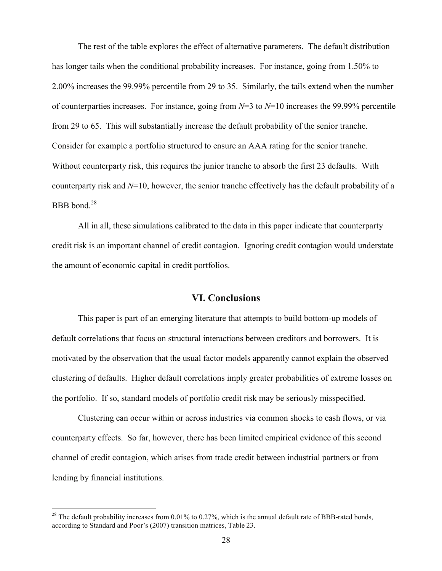The rest of the table explores the effect of alternative parameters. The default distribution has longer tails when the conditional probability increases. For instance, going from 1.50% to 2.00% increases the 99.99% percentile from 29 to 35. Similarly, the tails extend when the number of counterparties increases. For instance, going from *N*=3 to *N*=10 increases the 99.99% percentile from 29 to 65. This will substantially increase the default probability of the senior tranche. Consider for example a portfolio structured to ensure an AAA rating for the senior tranche. Without counterparty risk, this requires the junior tranche to absorb the first 23 defaults. With counterparty risk and *N*=10, however, the senior tranche effectively has the default probability of a BBB bond.<sup>28</sup>

All in all, these simulations calibrated to the data in this paper indicate that counterparty credit risk is an important channel of credit contagion. Ignoring credit contagion would understate the amount of economic capital in credit portfolios.

### **VI. Conclusions**

This paper is part of an emerging literature that attempts to build bottom-up models of default correlations that focus on structural interactions between creditors and borrowers. It is motivated by the observation that the usual factor models apparently cannot explain the observed clustering of defaults. Higher default correlations imply greater probabilities of extreme losses on the portfolio. If so, standard models of portfolio credit risk may be seriously misspecified.

Clustering can occur within or across industries via common shocks to cash flows, or via counterparty effects. So far, however, there has been limited empirical evidence of this second channel of credit contagion, which arises from trade credit between industrial partners or from lending by financial institutions.

<sup>&</sup>lt;sup>28</sup> The default probability increases from 0.01% to 0.27%, which is the annual default rate of BBB-rated bonds, according to Standard and Poor's (2007) transition matrices, Table 23.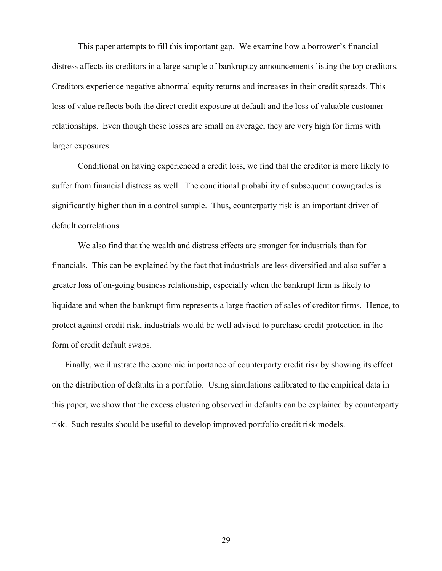This paper attempts to fill this important gap. We examine how a borrower's financial distress affects its creditors in a large sample of bankruptcy announcements listing the top creditors. Creditors experience negative abnormal equity returns and increases in their credit spreads. This loss of value reflects both the direct credit exposure at default and the loss of valuable customer relationships. Even though these losses are small on average, they are very high for firms with larger exposures.

Conditional on having experienced a credit loss, we find that the creditor is more likely to suffer from financial distress as well. The conditional probability of subsequent downgrades is significantly higher than in a control sample. Thus, counterparty risk is an important driver of default correlations.

We also find that the wealth and distress effects are stronger for industrials than for financials. This can be explained by the fact that industrials are less diversified and also suffer a greater loss of on-going business relationship, especially when the bankrupt firm is likely to liquidate and when the bankrupt firm represents a large fraction of sales of creditor firms. Hence, to protect against credit risk, industrials would be well advised to purchase credit protection in the form of credit default swaps.

Finally, we illustrate the economic importance of counterparty credit risk by showing its effect on the distribution of defaults in a portfolio. Using simulations calibrated to the empirical data in this paper, we show that the excess clustering observed in defaults can be explained by counterparty risk. Such results should be useful to develop improved portfolio credit risk models.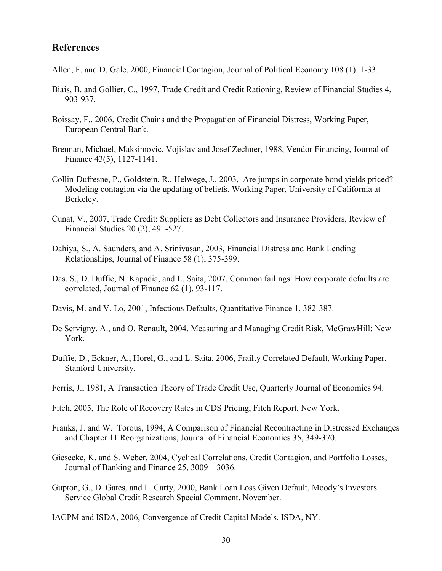### **References**

- Allen, F. and D. Gale, 2000, Financial Contagion, Journal of Political Economy 108 (1). 1-33.
- Biais, B. and Gollier, C., 1997, Trade Credit and Credit Rationing, Review of Financial Studies 4, 903-937.
- Boissay, F., 2006, Credit Chains and the Propagation of Financial Distress, Working Paper, European Central Bank.
- Brennan, Michael, Maksimovic, Vojislav and Josef Zechner, 1988, Vendor Financing, Journal of Finance 43(5), 1127-1141.
- Collin-Dufresne, P., Goldstein, R., Helwege, J., 2003, Are jumps in corporate bond yields priced? Modeling contagion via the updating of beliefs, Working Paper, University of California at Berkeley.
- Cunat, V., 2007, Trade Credit: Suppliers as Debt Collectors and Insurance Providers, Review of Financial Studies 20 (2), 491-527.
- Dahiya, S., A. Saunders, and A. Srinivasan, 2003, Financial Distress and Bank Lending Relationships, Journal of Finance 58 (1), 375-399.
- Das, S., D. Duffie, N. Kapadia, and L. Saita, 2007, Common failings: How corporate defaults are correlated, Journal of Finance 62 (1), 93-117.
- Davis, M. and V. Lo, 2001, Infectious Defaults, Quantitative Finance 1, 382-387.
- De Servigny, A., and O. Renault, 2004, Measuring and Managing Credit Risk, McGrawHill: New York.
- Duffie, D., Eckner, A., Horel, G., and L. Saita, 2006, Frailty Correlated Default, Working Paper, Stanford University.
- Ferris, J., 1981, A Transaction Theory of Trade Credit Use, Quarterly Journal of Economics 94.
- Fitch, 2005, The Role of Recovery Rates in CDS Pricing, Fitch Report, New York.
- Franks, J. and W. Torous, 1994, A Comparison of Financial Recontracting in Distressed Exchanges and Chapter 11 Reorganizations, Journal of Financial Economics 35, 349-370.
- Giesecke, K. and S. Weber, 2004, Cyclical Correlations, Credit Contagion, and Portfolio Losses, Journal of Banking and Finance 25, 3009—3036.
- Gupton, G., D. Gates, and L. Carty, 2000, Bank Loan Loss Given Default, Moody's Investors Service Global Credit Research Special Comment, November.

IACPM and ISDA, 2006, Convergence of Credit Capital Models. ISDA, NY.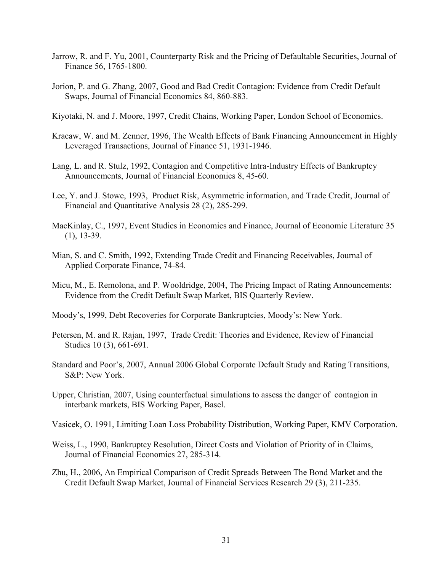- Jarrow, R. and F. Yu, 2001, Counterparty Risk and the Pricing of Defaultable Securities, Journal of Finance 56, 1765-1800.
- Jorion, P. and G. Zhang, 2007, Good and Bad Credit Contagion: Evidence from Credit Default Swaps, Journal of Financial Economics 84, 860-883.
- Kiyotaki, N. and J. Moore, 1997, Credit Chains, Working Paper, London School of Economics.
- Kracaw, W. and M. Zenner, 1996, The Wealth Effects of Bank Financing Announcement in Highly Leveraged Transactions, Journal of Finance 51, 1931-1946.
- Lang, L. and R. Stulz, 1992, Contagion and Competitive Intra-Industry Effects of Bankruptcy Announcements, Journal of Financial Economics 8, 45-60.
- Lee, Y. and J. Stowe, 1993, Product Risk, Asymmetric information, and Trade Credit, Journal of Financial and Quantitative Analysis 28 (2), 285-299.
- MacKinlay, C., 1997, Event Studies in Economics and Finance, Journal of Economic Literature 35 (1), 13-39.
- Mian, S. and C. Smith, 1992, Extending Trade Credit and Financing Receivables, Journal of Applied Corporate Finance, 74-84.
- Micu, M., E. Remolona, and P. Wooldridge, 2004, The Pricing Impact of Rating Announcements: Evidence from the Credit Default Swap Market, BIS Quarterly Review.
- Moody's, 1999, Debt Recoveries for Corporate Bankruptcies, Moody's: New York.
- Petersen, M. and R. Rajan, 1997, Trade Credit: Theories and Evidence, Review of Financial Studies 10 (3), 661-691.
- Standard and Poor's, 2007, Annual 2006 Global Corporate Default Study and Rating Transitions, S&P: New York.
- Upper, Christian, 2007, Using counterfactual simulations to assess the danger of contagion in interbank markets, BIS Working Paper, Basel.
- Vasicek, O. 1991, Limiting Loan Loss Probability Distribution, Working Paper, KMV Corporation.
- Weiss, L., 1990, Bankruptcy Resolution, Direct Costs and Violation of Priority of in Claims, Journal of Financial Economics 27, 285-314.
- Zhu, H., 2006, An Empirical Comparison of Credit Spreads Between The Bond Market and the Credit Default Swap Market, Journal of Financial Services Research 29 (3), 211-235.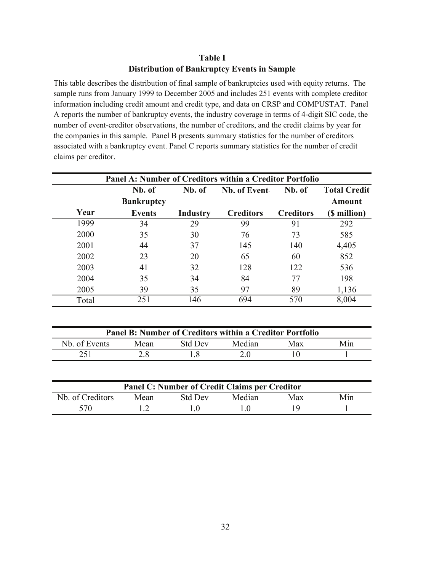### **Table I Distribution of Bankruptcy Events in Sample**

This table describes the distribution of final sample of bankruptcies used with equity returns. The sample runs from January 1999 to December 2005 and includes 251 events with complete creditor information including credit amount and credit type, and data on CRSP and COMPUSTAT. Panel A reports the number of bankruptcy events, the industry coverage in terms of 4-digit SIC code, the number of event-creditor observations, the number of creditors, and the credit claims by year for the companies in this sample. Panel B presents summary statistics for the number of creditors associated with a bankruptcy event. Panel C reports summary statistics for the number of credit claims per creditor.

| <b>Panel A: Number of Creditors within a Creditor Portfolio</b> |                   |                |                                                                 |                  |                     |  |  |  |  |
|-----------------------------------------------------------------|-------------------|----------------|-----------------------------------------------------------------|------------------|---------------------|--|--|--|--|
|                                                                 | Nb. of            | Nb. of         | Nb. of Event-                                                   | Nb. of           | <b>Total Credit</b> |  |  |  |  |
|                                                                 | <b>Bankruptcy</b> |                |                                                                 |                  | <b>Amount</b>       |  |  |  |  |
| Year                                                            | <b>Events</b>     | Industry       | <b>Creditors</b>                                                | <b>Creditors</b> | (\$ million)        |  |  |  |  |
| 1999                                                            | 34                | 29             | 99                                                              | 91               | 292                 |  |  |  |  |
| 2000                                                            | 35                | 30             | 76                                                              | 73               | 585                 |  |  |  |  |
| 2001                                                            | 44                | 37             | 145                                                             | 140              | 4,405               |  |  |  |  |
| 2002                                                            | 23                | 20             | 65                                                              | 60               | 852                 |  |  |  |  |
| 2003                                                            | 41                | 32             | 128                                                             | 122              | 536                 |  |  |  |  |
| 2004                                                            | 35                | 34             | 84                                                              | 77               | 198                 |  |  |  |  |
| 2005                                                            | 39                | 35             | 97                                                              | 89               | 1,136               |  |  |  |  |
| Total                                                           | 251               | 146            | 694                                                             | 570              | 8,004               |  |  |  |  |
|                                                                 |                   |                |                                                                 |                  |                     |  |  |  |  |
|                                                                 |                   |                | <b>Panel B: Number of Creditors within a Creditor Portfolio</b> |                  |                     |  |  |  |  |
| Nb. of Events                                                   | Mean              | <b>Std Dev</b> | Median                                                          | Max              | Min                 |  |  |  |  |
| 251                                                             | 2.8               | 1.8            | 2.0                                                             | 10               | 1                   |  |  |  |  |
|                                                                 |                   |                |                                                                 |                  |                     |  |  |  |  |
| Panel C: Number of Credit Claims per Creditor                   |                   |                |                                                                 |                  |                     |  |  |  |  |
| Nb. of Creditors                                                | Mean              | <b>Std Dev</b> | Median                                                          | Max              | Min                 |  |  |  |  |
| 570                                                             | 1.2               | 1.0            | 1.0                                                             | 19               | 1                   |  |  |  |  |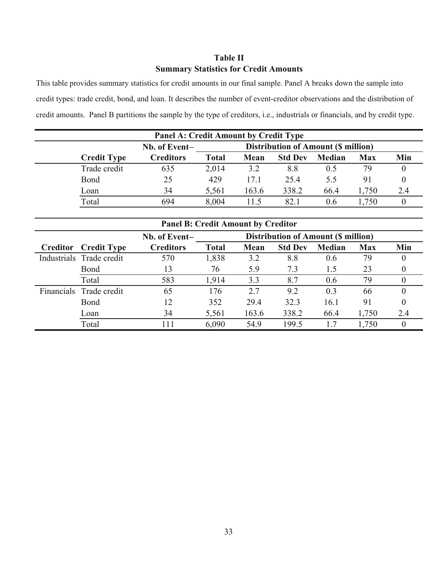### **Table II Summary Statistics for Credit Amounts**

This table provides summary statistics for credit amounts in our final sample. Panel A breaks down the sample into credit types: trade credit, bond, and loan. It describes the number of event-creditor observations and the distribution of credit amounts. Panel B partitions the sample by the type of creditors, i.e., industrials or financials, and by credit type.

| <b>Panel A: Credit Amount by Credit Type</b>                |                  |              |       |                |        |            |     |  |  |  |
|-------------------------------------------------------------|------------------|--------------|-------|----------------|--------|------------|-----|--|--|--|
| <b>Distribution of Amount (\$ million)</b><br>Nb. of Event- |                  |              |       |                |        |            |     |  |  |  |
| <b>Credit Type</b>                                          | <b>Creditors</b> | <b>Total</b> | Mean  | <b>Std Dev</b> | Median | <b>Max</b> | Min |  |  |  |
| Trade credit                                                | 635              | 2,014        | 3.2   | 8.8            | 0.5    | 79         |     |  |  |  |
| Bond                                                        | 25               | 429          | 17.1  | 25.4           | 5.5    | 91         |     |  |  |  |
| Loan                                                        | 34               | 5,561        | 163.6 | 338.2          | 66.4   | .750       | 2.4 |  |  |  |
| Total                                                       | 694              | 8,004        | 115   | 82.1           | 0.6    | .750       |     |  |  |  |

| <b>Panel B: Credit Amount by Creditor</b> |                          |                  |              |       |                                            |               |            |     |  |
|-------------------------------------------|--------------------------|------------------|--------------|-------|--------------------------------------------|---------------|------------|-----|--|
|                                           |                          | Nb. of Event-    |              |       | <b>Distribution of Amount (\$ million)</b> |               |            |     |  |
| Creditor                                  | <b>Credit Type</b>       | <b>Creditors</b> | <b>Total</b> | Mean  | <b>Std Dev</b>                             | <b>Median</b> | <b>Max</b> | Min |  |
|                                           | Industrials Trade credit | 570              | 1,838        | 3.2   | 8.8                                        | 0.6           | 79         |     |  |
|                                           | Bond                     | 13               | 76           | 5.9   | 7.3                                        | 1.5           | 23         |     |  |
|                                           | Total                    | 583              | 1,914        | 3.3   | 8.7                                        | 0.6           | 79         |     |  |
| <b>Financials</b>                         | Trade credit             | 65               | 176          | 2.7   | 9.2                                        | 0.3           | 66         |     |  |
|                                           | Bond                     | 12               | 352          | 29.4  | 32.3                                       | 16.1          | 91         |     |  |
|                                           | Loan                     | 34               | 5,561        | 163.6 | 338.2                                      | 66.4          | 1,750      | 2.4 |  |
|                                           | Total                    | 111              | 6,090        | 54.9  | 199.5                                      |               | 1,750      |     |  |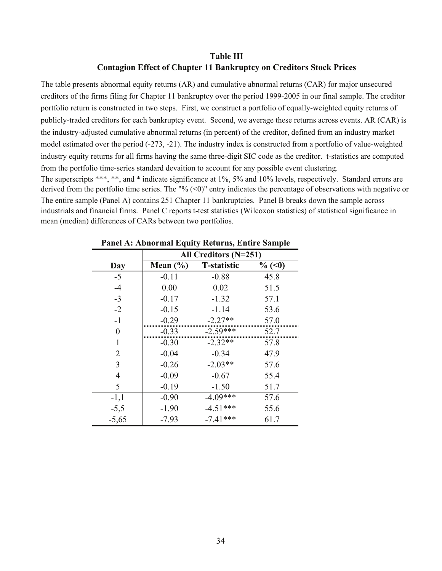### **Table III Contagion Effect of Chapter 11 Bankruptcy on Creditors Stock Prices**

The entire sample (Panel A) contains 251 Chapter 11 bankruptcies. Panel B breaks down the sample across industrials and financial firms. Panel C reports t-test statistics (Wilcoxon statistics) of statistical significance in mean (median) differences of CARs between two portfolios. The table presents abnormal equity returns (AR) and cumulative abnormal returns (CAR) for major unsecured creditors of the firms filing for Chapter 11 bankruptcy over the period 1999-2005 in our final sample. The creditor portfolio return is constructed in two steps. First, we construct a portfolio of equally-weighted equity returns of publicly-traded creditors for each bankruptcy event. Second, we average these returns across events. AR (CAR) is the industry-adjusted cumulative abnormal returns (in percent) of the creditor, defined from an industry market model estimated over the period (-273, -21). The industry index is constructed from a portfolio of value-weighted industry equity returns for all firms having the same three-digit SIC code as the creditor. t-statistics are computed from the portfolio time-series standard devaition to account for any possible event clustering. The superscripts \*\*\*, \*\*, and \* indicate significance at 1%, 5% and 10% levels, respectively. Standard errors are derived from the portfolio time series. The "%  $(\leq 0)$ " entry indicates the percentage of observations with negative or

|                | All Creditors $(N=251)$ |                    |           |  |  |  |  |  |
|----------------|-------------------------|--------------------|-----------|--|--|--|--|--|
| Day            | Mean $(\% )$            | <b>T-statistic</b> | $\%$ (<0) |  |  |  |  |  |
| $-5$           | $-0.11$                 | $-0.88$            | 45.8      |  |  |  |  |  |
| $-4$           | 0.00                    | 0.02               | 51.5      |  |  |  |  |  |
| $-3$           | $-0.17$                 | $-1.32$            | 57.1      |  |  |  |  |  |
| $-2$           | $-0.15$                 | $-1.14$            | 53.6      |  |  |  |  |  |
| $-1$           | $-0.29$                 | $-2.27**$          | 57.0      |  |  |  |  |  |
| $\overline{0}$ | $-0.33$                 | $-2.59***$         | 52.7      |  |  |  |  |  |
| 1              | $-0.30$                 | $-2.32**$          | 57.8      |  |  |  |  |  |
| 2              | $-0.04$                 | $-0.34$            | 47.9      |  |  |  |  |  |
| 3              | $-0.26$                 | $-2.03**$          | 57.6      |  |  |  |  |  |
| 4              | $-0.09$                 | $-0.67$            | 55.4      |  |  |  |  |  |
| 5              | $-0.19$                 | $-1.50$            | 51.7      |  |  |  |  |  |
| $-1,1$         | $-0.90$                 | $-4.09***$         | 57.6      |  |  |  |  |  |
| $-5,5$         | $-1.90$                 | $-4.51***$         | 55.6      |  |  |  |  |  |
| $-5,65$        | $-7.93$                 | $-7.41***$         | 61.7      |  |  |  |  |  |

### **Panel A: Abnormal Equity Returns, Entire Sample**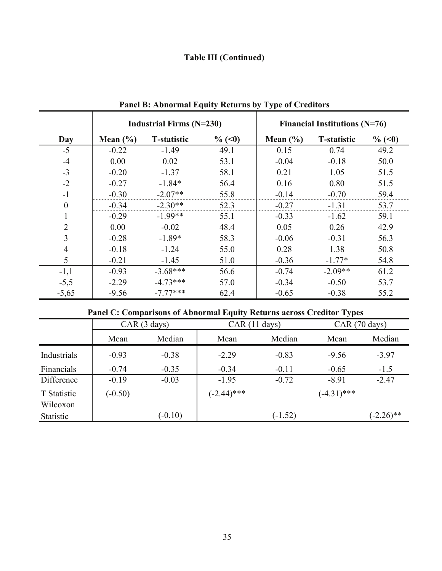# **Table III (Continued)**

|          |              | <b>Industrial Firms (N=230)</b> |           |              | Financial Institutions $(N=76)$ |           |
|----------|--------------|---------------------------------|-----------|--------------|---------------------------------|-----------|
| Day      | Mean $(\% )$ | <b>T-statistic</b>              | $\%$ (<0) | Mean $(\% )$ | <b>T-statistic</b>              | $\%$ (<0) |
| $-5$     | $-0.22$      | $-1.49$                         | 49.1      | 0.15         | 0.74                            | 49.2      |
| $-4$     | 0.00         | 0.02                            | 53.1      | $-0.04$      | $-0.18$                         | 50.0      |
| $-3$     | $-0.20$      | $-1.37$                         | 58.1      | 0.21         | 1.05                            | 51.5      |
| $-2$     | $-0.27$      | $-1.84*$                        | 56.4      | 0.16         | 0.80                            | 51.5      |
| $-1$     | $-0.30$      | $-2.07**$                       | 55.8      | $-0.14$      | $-0.70$                         | 59.4      |
| $\theta$ | $-0.34$      | $-2.30**$                       | 52.3      | $-0.27$      | $-1.31$                         | 53.7      |
|          | $-0.29$      | $-1.99**$                       | 55.1      | $-0.33$      | $-1.62$                         | 59.1      |
| 2        | 0.00         | $-0.02$                         | 48.4      | 0.05         | 0.26                            | 42.9      |
| 3        | $-0.28$      | $-1.89*$                        | 58.3      | $-0.06$      | $-0.31$                         | 56.3      |
| 4        | $-0.18$      | $-1.24$                         | 55.0      | 0.28         | 1.38                            | 50.8      |
| 5        | $-0.21$      | $-1.45$                         | 51.0      | $-0.36$      | $-1.77*$                        | 54.8      |
| $-1,1$   | $-0.93$      | $-3.68***$                      | 56.6      | $-0.74$      | $-2.09**$                       | 61.2      |
| $-5,5$   | $-2.29$      | $-4.73***$                      | 57.0      | $-0.34$      | $-0.50$                         | 53.7      |
| $-5,65$  | $-9.56$      | $-7.77***$                      | 62.4      | $-0.65$      | $-0.38$                         | 55.2      |

**Panel B: Abnormal Equity Returns by Type of Creditors**

# **Panel C: Comparisons of Abnormal Equity Returns across Creditor Types**

|                         | CAR(3 days) |           | CAR (11 days) |           | $CAR(70 \text{ days})$ |              |
|-------------------------|-------------|-----------|---------------|-----------|------------------------|--------------|
|                         | Mean        | Median    | Mean          | Median    | Mean                   | Median       |
| Industrials             | $-0.93$     | $-0.38$   | $-2.29$       | $-0.83$   | $-9.56$                | $-3.97$      |
| Financials              | $-0.74$     | $-0.35$   | $-0.34$       | $-0.11$   | $-0.65$                | $-1.5$       |
| Difference              | $-0.19$     | $-0.03$   | $-1.95$       | $-0.72$   | $-8.91$                | $-2.47$      |
| T Statistic<br>Wilcoxon | $(-0.50)$   |           | $(-2.44)$ *** |           | $(-4.31)$ ***          |              |
| <b>Statistic</b>        |             | $(-0.10)$ |               | $(-1.52)$ |                        | $(-2.26)$ ** |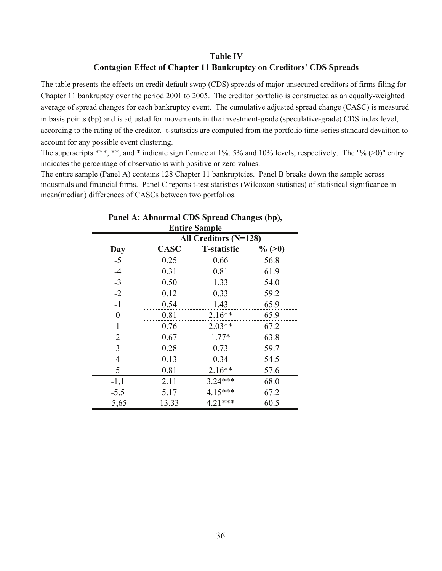### **Table IV Contagion Effect of Chapter 11 Bankruptcy on Creditors' CDS Spreads**

The table presents the effects on credit default swap (CDS) spreads of major unsecured creditors of firms filing for Chapter 11 bankruptcy over the period 2001 to 2005. The creditor portfolio is constructed as an equally-weighted average of spread changes for each bankruptcy event. The cumulative adjusted spread change (CASC) is measured in basis points (bp) and is adjusted for movements in the investment-grade (speculative-grade) CDS index level, according to the rating of the creditor. t-statistics are computed from the portfolio time-series standard devaition to account for any possible event clustering.

The superscripts \*\*\*, \*\*, and \* indicate significance at 1%, 5% and 10% levels, respectively. The "% (>0)" entry indicates the percentage of observations with positive or zero values.

The entire sample (Panel A) contains 128 Chapter 11 bankruptcies. Panel B breaks down the sample across industrials and financial firms. Panel C reports t-test statistics (Wilcoxon statistics) of statistical significance in mean(median) differences of CASCs between two portfolios.

| <b>Entire Sample</b> |                         |                    |           |  |  |  |  |  |  |
|----------------------|-------------------------|--------------------|-----------|--|--|--|--|--|--|
|                      | All Creditors $(N=128)$ |                    |           |  |  |  |  |  |  |
| Day                  | <b>CASC</b>             | <b>T-statistic</b> | $\%$ (>0) |  |  |  |  |  |  |
| $-5$                 | 0.25                    | 0.66               | 56.8      |  |  |  |  |  |  |
| $-4$                 | 0.31                    | 0.81               | 61.9      |  |  |  |  |  |  |
| $-3$                 | 0.50                    | 1.33               | 54.0      |  |  |  |  |  |  |
| $-2$                 | 0.12                    | 0.33               | 59.2      |  |  |  |  |  |  |
| $-1$                 | 0.54                    | 1.43               | 65.9      |  |  |  |  |  |  |
| $\boldsymbol{0}$     | 0.81                    | $2.16**$           | 65.9      |  |  |  |  |  |  |
| 1                    | 0.76                    | $2.03**$           | 67.2      |  |  |  |  |  |  |
| 2                    | 0.67                    | $1.77*$            | 63.8      |  |  |  |  |  |  |
| 3                    | 0.28                    | 0.73               | 59.7      |  |  |  |  |  |  |
| 4                    | 0.13                    | 0.34               | 54.5      |  |  |  |  |  |  |
| 5                    | 0.81                    | $2.16**$           | 57.6      |  |  |  |  |  |  |
| $-1,1$               | 2.11                    | $3.24***$          | 68.0      |  |  |  |  |  |  |
| $-5,5$               | 5.17                    | 4.15***            | 67.2      |  |  |  |  |  |  |
| $-5,65$              | 13.33                   | $4.21***$          | 60.5      |  |  |  |  |  |  |

| Panel A: Abnormal CDS Spread Changes (bp), |
|--------------------------------------------|
| <b>Entire Sample</b>                       |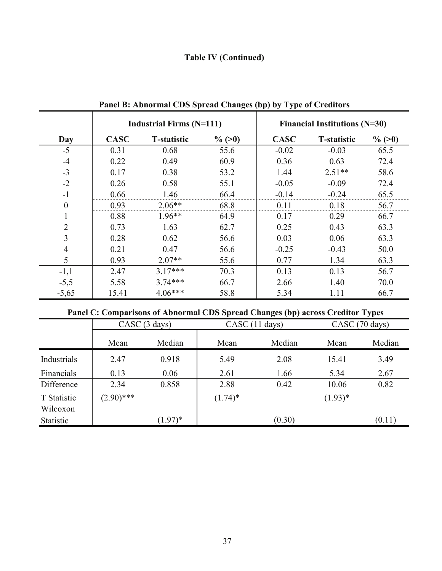# **Table IV (Continued)**

|                |             | <b>Industrial Firms (N=111)</b> |           |             | <b>Financial Institutions (N=30)</b> |           |
|----------------|-------------|---------------------------------|-----------|-------------|--------------------------------------|-----------|
| Day            | <b>CASC</b> | <b>T-statistic</b>              | $\%$ (>0) | <b>CASC</b> | <b>T-statistic</b>                   | $\%$ (>0) |
| $-5$           | 0.31        | 0.68                            | 55.6      | $-0.02$     | $-0.03$                              | 65.5      |
| $-4$           | 0.22        | 0.49                            | 60.9      | 0.36        | 0.63                                 | 72.4      |
| $-3$           | 0.17        | 0.38                            | 53.2      | 1.44        | $2.51**$                             | 58.6      |
| $-2$           | 0.26        | 0.58                            | 55.1      | $-0.05$     | $-0.09$                              | 72.4      |
| $-1$           | 0.66<br>    | 1.46                            | 66.4      | $-0.14$     | $-0.24$                              | 65.5      |
| $\theta$       | 0.93<br>    | $2.06**$                        | 68.8      | 0 1 1       | 0.18                                 | 56.7      |
|                | 0.88        | $1.96**$                        | 64.9      | 0.17        | 0.29                                 | 66.7      |
| $\overline{2}$ | 0.73        | 1.63                            | 62.7      | 0.25        | 0.43                                 | 63.3      |
| 3              | 0.28        | 0.62                            | 56.6      | 0.03        | 0.06                                 | 63.3      |
|                | 0.21        | 0.47                            | 56.6      | $-0.25$     | $-0.43$                              | 50.0      |
| 5              | 0.93        | $2.07**$                        | 55.6      | 0.77        | 1.34                                 | 63.3      |
| $-1,1$         | 2.47        | $3.17***$                       | 70.3      | 0.13        | 0.13                                 | 56.7      |
| $-5,5$         | 5.58        | $3.74***$                       | 66.7      | 2.66        | 1.40                                 | 70.0      |
| $-5,65$        | 15.41       | $4.06***$                       | 58.8      | 5.34        | 1.11                                 | 66.7      |

**Panel B: Abnormal CDS Spread Changes (bp) by Type of Creditors**

# **Panel C: Comparisons of Abnormal CDS Spread Changes (bp) across Creditor Types**

|                         | CASC (3 days) |            |            | CASC (11 days) | CASC (70 days) |        |
|-------------------------|---------------|------------|------------|----------------|----------------|--------|
|                         | Mean          | Median     | Mean       | Median         | Mean           | Median |
| Industrials             | 2.47          | 0.918      | 5.49       | 2.08           | 15.41          | 3.49   |
| Financials              | 0.13          | 0.06       | 2.61       | 1.66           | 5.34           | 2.67   |
| Difference              | 2.34          | 0.858      | 2.88       | 0.42           | 10.06          | 0.82   |
| T Statistic<br>Wilcoxon | $(2.90)$ ***  |            | $(1.74)^*$ |                | $(1.93)*$      |        |
| Statistic               |               | $(1.97)^*$ |            | (0.30)         |                | (0.11) |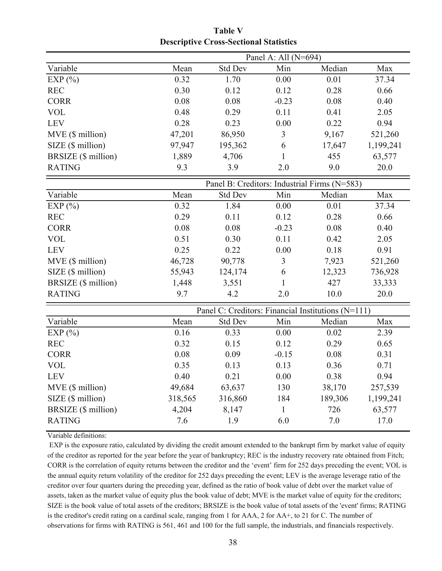|                            | Panel A: All (N=694) |                                                    |              |                                              |           |  |
|----------------------------|----------------------|----------------------------------------------------|--------------|----------------------------------------------|-----------|--|
| Variable                   | Mean                 | <b>Std Dev</b>                                     | Min          | Median                                       | Max       |  |
| EXP $(\% )$                | 0.32                 | 1.70                                               | 0.00         | 0.01                                         | 37.34     |  |
| <b>REC</b>                 | 0.30                 | 0.12                                               | 0.12         | 0.28                                         | 0.66      |  |
| <b>CORR</b>                | 0.08                 | 0.08                                               | $-0.23$      | 0.08                                         | 0.40      |  |
| <b>VOL</b>                 | 0.48                 | 0.29                                               | 0.11         | 0.41                                         | 2.05      |  |
| <b>LEV</b>                 | 0.28                 | 0.23                                               | 0.00         | 0.22                                         | 0.94      |  |
| MVE (\$ million)           | 47,201               | 86,950                                             | 3            | 9,167                                        | 521,260   |  |
| SIZE (\$ million)          | 97,947               | 195,362                                            | 6            | 17,647                                       | 1,199,241 |  |
| BRSIZE (\$ million)        | 1,889                | 4,706                                              | 1            | 455                                          | 63,577    |  |
| <b>RATING</b>              | 9.3                  | 3.9                                                | 2.0          | 9.0                                          | 20.0      |  |
|                            |                      |                                                    |              | Panel B: Creditors: Industrial Firms (N=583) |           |  |
| Variable                   | Mean                 | <b>Std Dev</b>                                     | Min          | Median                                       | Max       |  |
| EXP $(\% )$                | 0.32                 | 1.84                                               | 0.00         | 0.01                                         | 37.34     |  |
| <b>REC</b>                 | 0.29                 | 0.11                                               | 0.12         | 0.28                                         | 0.66      |  |
| <b>CORR</b>                | 0.08                 | 0.08                                               | $-0.23$      | 0.08                                         | 0.40      |  |
| <b>VOL</b>                 | 0.51                 | 0.30                                               | 0.11         | 0.42                                         | 2.05      |  |
| <b>LEV</b>                 | 0.25                 | 0.22                                               | 0.00         | 0.18                                         | 0.91      |  |
| MVE (\$ million)           | 46,728               | 90,778                                             | 3            | 7,923                                        | 521,260   |  |
| SIZE (\$ million)          | 55,943               | 124,174                                            | 6            | 12,323                                       | 736,928   |  |
| BRSIZE (\$ million)        | 1,448                | 3,551                                              | 1            | 427                                          | 33,333    |  |
| <b>RATING</b>              | 9.7                  | 4.2                                                | 2.0          | 10.0                                         | 20.0      |  |
|                            |                      | Panel C: Creditors: Financial Institutions (N=111) |              |                                              |           |  |
| Variable                   | Mean                 | <b>Std Dev</b>                                     | Min          | Median                                       | Max       |  |
| EXP $(\% )$                | 0.16                 | 0.33                                               | 0.00         | 0.02                                         | 2.39      |  |
| <b>REC</b>                 | 0.32                 | 0.15                                               | 0.12         | 0.29                                         | 0.65      |  |
| <b>CORR</b>                | 0.08                 | 0.09                                               | $-0.15$      | 0.08                                         | 0.31      |  |
| <b>VOL</b>                 | 0.35                 | 0.13                                               | 0.13         | 0.36                                         | 0.71      |  |
| <b>LEV</b>                 | 0.40                 | 0.21                                               | 0.00         | 0.38                                         | 0.94      |  |
| MVE (\$ million)           | 49,684               | 63,637                                             | 130          | 38,170                                       | 257,539   |  |
| SIZE (\$ million)          | 318,565              | 316,860                                            | 184          | 189,306                                      | 1,199,241 |  |
| <b>BRSIZE</b> (\$ million) | 4,204                | 8,147                                              | $\mathbf{1}$ | 726                                          | 63,577    |  |
| <b>RATING</b>              | 7.6                  | 1.9                                                | 6.0          | 7.0                                          | 17.0      |  |

**Table V Descriptive Cross-Sectional Statistics**

Variable definitions:

 EXP is the exposure ratio, calculated by dividing the credit amount extended to the bankrupt firm by market value of equity of the creditor as reported for the year before the year of bankruptcy; REC is the industry recovery rate obtained from Fitch; CORR is the correlation of equity returns between the creditor and the 'event' firm for 252 days preceding the event; VOL is the annual equity return volatility of the creditor for 252 days preceding the event; LEV is the average leverage ratio of the creditor over four quarters during the preceding year, defined as the ratio of book value of debt over the market value of assets, taken as the market value of equity plus the book value of debt; MVE is the market value of equity for the creditors; SIZE is the book value of total assets of the creditors; BRSIZE is the book value of total assets of the 'event' firms; RATING is the creditor's credit rating on a cardinal scale, ranging from 1 for AAA, 2 for AA+, to 21 for C. The number of observations for firms with RATING is 561, 461 and 100 for the full sample, the industrials, and financials respectively.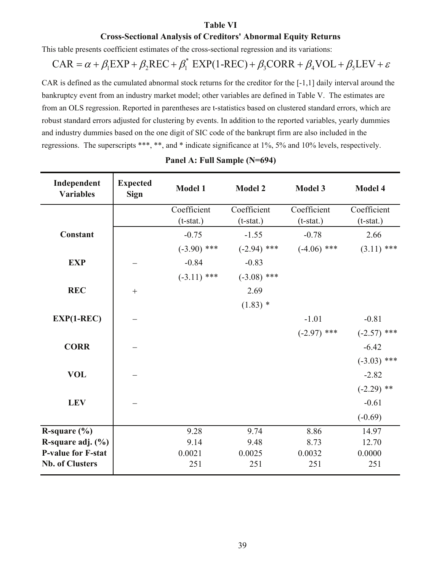#### **Table VI**

### **Cross-Sectional Analysis of Creditors' Abnormal Equity Returns**

This table presents coefficient estimates of the cross-sectional regression and its variations:

$$
CAR = \alpha + \beta_1 EXP + \beta_2 REC + \beta_1^* EXP(1-REC) + \beta_3 CORR + \beta_4 VOL + \beta_5 LEV + \varepsilon
$$

CAR is defined as the cumulated abnormal stock returns for the creditor for the [-1,1] daily interval around the bankruptcy event from an industry market model; other variables are defined in Table V. The estimates are from an OLS regression. Reported in parentheses are t-statistics based on clustered standard errors, which are robust standard errors adjusted for clustering by events. In addition to the reported variables, yearly dummies and industry dummies based on the one digit of SIC code of the bankrupt firm are also included in the regressions. The superscripts \*\*\*, \*\*, and \* indicate significance at 1%, 5% and 10% levels, respectively.

| Independent<br><b>Variables</b> | <b>Expected</b><br><b>Sign</b> | <b>Model 1</b><br><b>Model 2</b> |               | <b>Model 3</b> | Model 4       |
|---------------------------------|--------------------------------|----------------------------------|---------------|----------------|---------------|
|                                 |                                | Coefficient                      | Coefficient   | Coefficient    | Coefficient   |
|                                 |                                | $(t-stat.)$                      | $(t-stat.)$   | $(t-stat.)$    | $(t-stat.)$   |
| <b>Constant</b>                 |                                | $-0.75$                          | $-1.55$       | $-0.78$        | 2.66          |
|                                 |                                | $(-3.90)$ ***                    | $(-2.94)$ *** | $(-4.06)$ ***  | $(3.11)$ ***  |
| <b>EXP</b>                      |                                | $-0.84$                          | $-0.83$       |                |               |
|                                 |                                | $(-3.11)$ ***                    | $(-3.08)$ *** |                |               |
| <b>REC</b>                      | $+$                            |                                  | 2.69          |                |               |
|                                 |                                |                                  | $(1.83)$ *    |                |               |
| $EXP(1-REC)$                    |                                |                                  |               | $-1.01$        | $-0.81$       |
|                                 |                                |                                  |               | $(-2.97)$ ***  | $(-2.57)$ *** |
| <b>CORR</b>                     |                                |                                  |               |                | $-6.42$       |
|                                 |                                |                                  |               |                | $(-3.03)$ *** |
| <b>VOL</b>                      |                                |                                  |               |                | $-2.82$       |
|                                 |                                |                                  |               |                | $(-2.29)$ **  |
| <b>LEV</b>                      |                                |                                  |               |                | $-0.61$       |
|                                 |                                |                                  |               |                | $(-0.69)$     |
| R-square $(\% )$                |                                | 9.28                             | 9.74          | 8.86           | 14.97         |
| R-square adj. (%)               |                                | 9.14                             | 9.48          | 8.73           | 12.70         |
| <b>P-value for F-stat</b>       |                                | 0.0021                           | 0.0025        | 0.0032         | 0.0000        |
| <b>Nb. of Clusters</b>          |                                | 251                              | 251           | 251            | 251           |

### **Panel A: Full Sample (N=694)**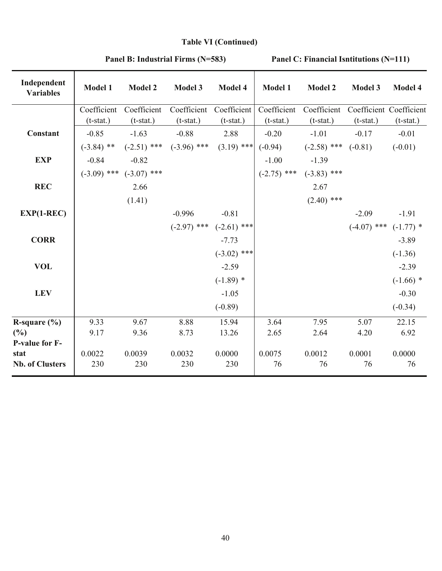# **Table VI (Continued)**

| Independent<br><b>Variables</b> | <b>Model 1</b>             | <b>Model 2</b>              | Model 3                     | Model 4                     | <b>Model 1</b>             | <b>Model 2</b>                                 | <b>Model 3</b>                         | Model 4      |
|---------------------------------|----------------------------|-----------------------------|-----------------------------|-----------------------------|----------------------------|------------------------------------------------|----------------------------------------|--------------|
|                                 | Coefficient<br>$(t-stat.)$ | Coefficient<br>$(t-stat.)$  | Coefficient<br>$(t-stat.)$  | Coefficient<br>$(t-stat.)$  | Coefficient<br>$(t-stat.)$ | Coefficient<br>$(t-stat.)$                     | Coefficient Coefficient<br>$(t-stat.)$ | $(t-stat.)$  |
| <b>Constant</b>                 | $-0.85$                    | $-1.63$                     | $-0.88$                     | 2.88                        | $-0.20$                    | $-1.01$                                        | $-0.17$                                | $-0.01$      |
|                                 | $(-3.84)$ **               |                             | $(-2.51)$ *** $(-3.96)$ *** | $(3.19)$ ***                | $(-0.94)$                  | $(-2.58)$ ***                                  | $(-0.81)$                              | $(-0.01)$    |
| <b>EXP</b>                      | $-0.84$                    | $-0.82$                     |                             |                             |                            |                                                |                                        |              |
|                                 |                            | $(-3.09)$ *** $(-3.07)$ *** |                             |                             |                            | $-1.00$ $-1.39$<br>$(-2.75)$ *** $(-3.83)$ *** |                                        |              |
| <b>REC</b>                      |                            | 2.66                        |                             |                             |                            | 2.67                                           |                                        |              |
|                                 |                            | (1.41)                      |                             |                             |                            | $(2.40)$ ***                                   |                                        |              |
| $EXP(1-REC)$                    |                            |                             | $-0.996$                    | $-0.81$                     |                            |                                                | $-2.09$                                | $-1.91$      |
|                                 |                            |                             |                             | $(-2.97)$ *** $(-2.61)$ *** |                            |                                                | $(-4.07)$ *** $(-1.77)$ *              |              |
| <b>CORR</b>                     |                            |                             |                             | $-7.73$                     |                            |                                                |                                        | $-3.89$      |
|                                 |                            |                             |                             | $(-3.02)$ ***               |                            |                                                |                                        | $(-1.36)$    |
| <b>VOL</b>                      |                            |                             |                             | $-2.59$                     |                            |                                                |                                        | $-2.39$      |
|                                 |                            |                             |                             | $(-1.89)$ *                 |                            |                                                |                                        | $(-1.66)$ *  |
| <b>LEV</b>                      |                            |                             |                             | $-1.05$                     |                            |                                                |                                        | $-0.30$      |
|                                 |                            |                             |                             | $(-0.89)$                   |                            |                                                |                                        | $(-0.34)$    |
| R-square $(\% )$                | 9.33                       | 9.67                        | 8.88                        | 15.94                       | 3.64                       | 7.95                                           | 5.07                                   | 22.15        |
| (%)                             | 9.17                       | 9.36                        | 8.73                        | 13.26                       | 2.65                       | 2.64                                           | 4.20                                   | 6.92         |
| <b>P-value for F-</b>           |                            |                             |                             |                             |                            |                                                |                                        |              |
| stat<br><b>Nb. of Clusters</b>  | 0.0022<br>230              | 0.0039<br>230               | 0.0032<br>230               | 0.0000<br>230               | 0.0075<br>76               | 0.0012<br>76                                   | 0.0001<br>76                           | 0.0000<br>76 |
|                                 |                            |                             |                             |                             |                            |                                                |                                        |              |

### **Panel B: Industrial Firms (N=583)**

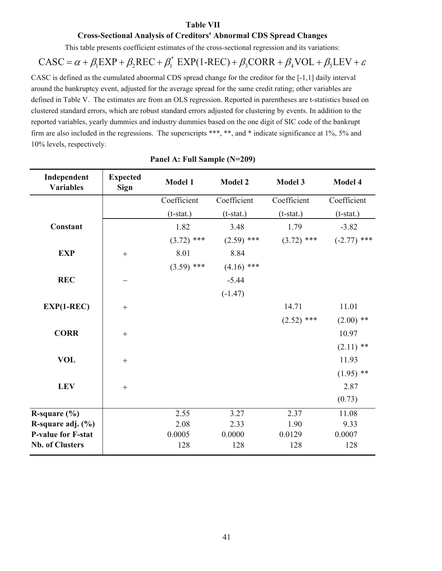#### **Table VII**

#### **Cross-Sectional Analysis of Creditors' Abnormal CDS Spread Changes**

This table presents coefficient estimates of the cross-sectional regression and its variations:

$$
CASC = \alpha + \beta_1 EXP + \beta_2 REC + \beta_1^* EXP(1-REC) + \beta_3 CORR + \beta_4 VOL + \beta_5 LEV + \varepsilon
$$

CASC is defined as the cumulated abnormal CDS spread change for the creditor for the [-1,1] daily interval around the bankruptcy event, adjusted for the average spread for the same credit rating; other variables are defined in Table V. The estimates are from an OLS regression. Reported in parentheses are t-statistics based on clustered standard errors, which are robust standard errors adjusted for clustering by events. In addition to the reported variables, yearly dummies and industry dummies based on the one digit of SIC code of the bankrupt firm are also included in the regressions. The superscripts \*\*\*, \*\*, and \* indicate significance at 1%, 5% and 10% levels, respectively.

| Independent<br><b>Variables</b> | <b>Expected</b><br><b>Sign</b> | Model 1      | <b>Model 2</b> | <b>Model 3</b> | Model 4       |
|---------------------------------|--------------------------------|--------------|----------------|----------------|---------------|
|                                 |                                | Coefficient  | Coefficient    | Coefficient    | Coefficient   |
|                                 |                                | $(t-stat.)$  | $(t-stat.)$    | $(t$ -stat.)   | $(t-stat.)$   |
| Constant                        |                                | 1.82         | 3.48           | 1.79           | $-3.82$       |
|                                 |                                | $(3.72)$ *** | $(2.59)$ ***   | $(3.72)$ ***   | $(-2.77)$ *** |
| <b>EXP</b>                      | $\! + \!$                      | 8.01         | 8.84           |                |               |
|                                 |                                | $(3.59)$ *** | $(4.16)$ ***   |                |               |
| <b>REC</b>                      |                                |              | $-5.44$        |                |               |
|                                 |                                |              | $(-1.47)$      |                |               |
| $EXP(1-REC)$                    | $^{+}$                         |              |                | 14.71          | 11.01         |
|                                 |                                |              |                | $(2.52)$ ***   | $(2.00)$ **   |
| <b>CORR</b>                     | $^{+}$                         |              |                |                | 10.97         |
|                                 |                                |              |                |                | $(2.11)$ **   |
| <b>VOL</b>                      | $^{+}$                         |              |                |                | 11.93         |
|                                 |                                |              |                |                | $(1.95)$ **   |
| <b>LEV</b>                      | $\boldsymbol{+}$               |              |                |                | 2.87          |
|                                 |                                |              |                |                | (0.73)        |
| R-square $(\% )$                |                                | 2.55         | 3.27           | 2.37           | 11.08         |
| R-square adj. (%)               |                                | 2.08         | 2.33           | 1.90           | 9.33          |
| <b>P-value for F-stat</b>       |                                | 0.0005       | 0.0000         | 0.0129         | 0.0007        |
| <b>Nb. of Clusters</b>          |                                | 128          | 128            | 128            | 128           |

| Panel A: Full Sample (N=209) |  |  |  |
|------------------------------|--|--|--|
|------------------------------|--|--|--|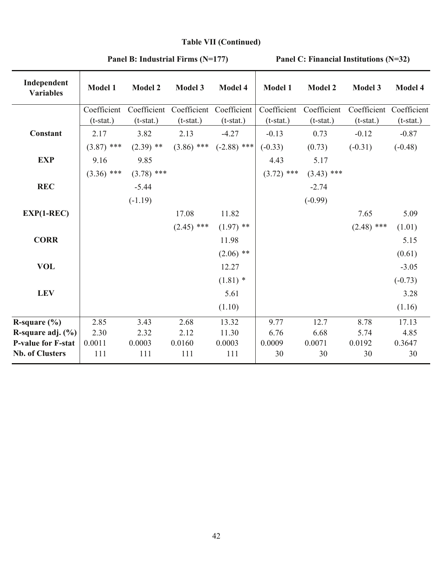# **Table VII (Continued)**

| Independent<br><b>Variables</b> | Model 1      | <b>Model 2</b> | Model 3      | Model 4                 | Model 1      | <b>Model 2</b> | Model 3                 | Model 4     |
|---------------------------------|--------------|----------------|--------------|-------------------------|--------------|----------------|-------------------------|-------------|
|                                 | Coefficient  | Coefficient    |              | Coefficient Coefficient | Coefficient  | Coefficient    | Coefficient Coefficient |             |
|                                 | $(t-stat.)$  | $(t-stat.)$    | $(t-stat.)$  | $(t$ -stat.)            | $(t-stat.)$  | $(t-stat.)$    | $(t-stat.)$             | $(t-stat.)$ |
| Constant                        | 2.17         | 3.82           | 2.13         | $-4.27$                 | $-0.13$      | 0.73           | $-0.12$                 | $-0.87$     |
|                                 | $(3.87)$ *** | $(2.39)$ **    | $(3.86)$ *** | $(-2.88)$ ***           | $(-0.33)$    | (0.73)         | $(-0.31)$               | $(-0.48)$   |
| <b>EXP</b>                      | 9.16         | 9.85           |              |                         | 4.43         | 5.17           |                         |             |
|                                 | $(3.36)$ *** | $(3.78)$ ***   |              |                         | $(3.72)$ *** | $(3.43)$ ***   |                         |             |
| <b>REC</b>                      |              | $-5.44$        |              |                         |              | $-2.74$        |                         |             |
|                                 |              | $(-1.19)$      |              |                         |              | $(-0.99)$      |                         |             |
| $EXP(1-REC)$                    |              |                | 17.08        | 11.82                   |              |                | 7.65                    | 5.09        |
|                                 |              |                | $(2.45)$ *** | $(1.97)$ **             |              |                | $(2.48)$ ***            | (1.01)      |
| <b>CORR</b>                     |              |                |              | 11.98                   |              |                |                         | 5.15        |
|                                 |              |                |              | $(2.06)$ **             |              |                |                         | (0.61)      |
| <b>VOL</b>                      |              |                |              | 12.27                   |              |                |                         | $-3.05$     |
|                                 |              |                |              | $(1.81)$ *              |              |                |                         | $(-0.73)$   |
| <b>LEV</b>                      |              |                |              | 5.61                    |              |                |                         | 3.28        |
|                                 |              |                |              | (1.10)                  |              |                |                         | (1.16)      |
| R-square $(\% )$                | 2.85         | 3.43           | 2.68         | 13.32                   | 9.77         | 12.7           | 8.78                    | 17.13       |
| R-square adj. (%)               | 2.30         | 2.32           | 2.12         | 11.30                   | 6.76         | 6.68           | 5.74                    | 4.85        |
| <b>P-value for F-stat</b>       | 0.0011       | 0.0003         | 0.0160       | 0.0003                  | 0.0009       | 0.0071         | 0.0192                  | 0.3647      |
| <b>Nb. of Clusters</b>          | 111          | 111            | 111          | 111                     | 30           | 30             | 30                      | 30          |

**Panel B: Industrial Firms (N=177) Panel C: Financial Institutions (N=32)**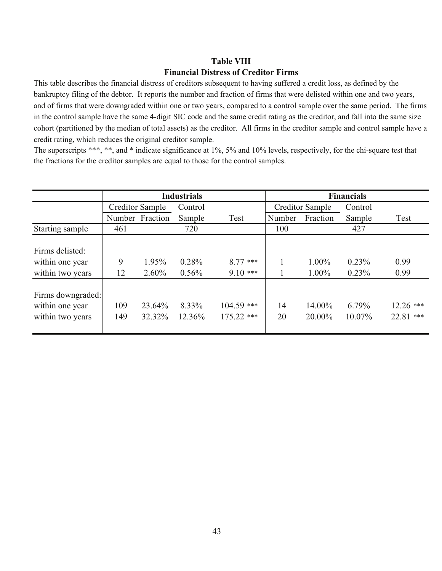### **Financial Distress of Creditor Firms Table VIII**

This table describes the financial distress of creditors subsequent to having suffered a credit loss, as defined by the bankruptcy filing of the debtor. It reports the number and fraction of firms that were delisted within one and two years, and of firms that were downgraded within one or two years, compared to a control sample over the same period. The firms in the control sample have the same 4-digit SIC code and the same credit rating as the creditor, and fall into the same size cohort (partitioned by the median of total assets) as the creditor. All firms in the creditor sample and control sample have a credit rating, which reduces the original creditor sample.

The superscripts \*\*\*, \*\*, and \* indicate significance at 1%, 5% and 10% levels, respectively, for the chi-square test that the fractions for the creditor samples are equal to those for the control samples.

|                   |                 |                 | <b>Industrials</b> |              | <b>Financials</b> |                 |         |             |  |
|-------------------|-----------------|-----------------|--------------------|--------------|-------------------|-----------------|---------|-------------|--|
|                   | Creditor Sample |                 | Control            |              |                   | Creditor Sample | Control |             |  |
|                   |                 | Number Fraction | Sample             | Test         | Number            | Fraction        | Sample  | Test        |  |
| Starting sample   | 461             |                 | 720                |              | 100               |                 | 427     |             |  |
|                   |                 |                 |                    |              |                   |                 |         |             |  |
| Firms delisted:   |                 |                 |                    |              |                   |                 |         |             |  |
| within one year   | 9               | 1.95%           | 0.28%              | $8.77***$    |                   | 1.00%           | 0.23%   | 0.99        |  |
| within two years  | 12              | $2.60\%$        | $0.56\%$           | $9.10***$    |                   | 1.00%           | 0.23%   | 0.99        |  |
|                   |                 |                 |                    |              |                   |                 |         |             |  |
| Firms downgraded: |                 |                 |                    |              |                   |                 |         |             |  |
| within one year   | 109             | 23.64%          | 8.33%              | $104.59$ *** | 14                | 14.00%          | 6.79%   | $12.26$ *** |  |
| within two years  | 149             | 32.32%          | 12.36%             | $175.22$ *** | 20                | 20.00%          | 10.07%  | 22.81 ***   |  |
|                   |                 |                 |                    |              |                   |                 |         |             |  |